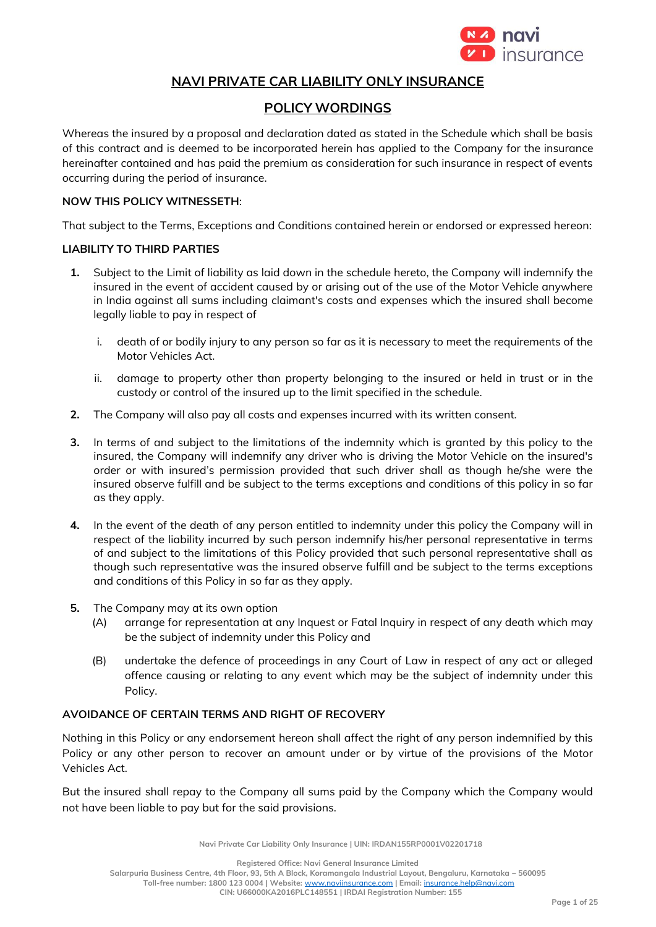

# **NAVI PRIVATE CAR LIABILITY ONLY INSURANCE**

# **POLICY WORDINGS**

Whereas the insured by a proposal and declaration dated as stated in the Schedule which shall be basis of this contract and is deemed to be incorporated herein has applied to the Company for the insurance hereinafter contained and has paid the premium as consideration for such insurance in respect of events occurring during the period of insurance.

#### **NOW THIS POLICY WITNESSETH**:

That subject to the Terms, Exceptions and Conditions contained herein or endorsed or expressed hereon:

#### **LIABILITY TO THIRD PARTIES**

- **1.** Subject to the Limit of liability as laid down in the schedule hereto, the Company will indemnify the insured in the event of accident caused by or arising out of the use of the Motor Vehicle anywhere in India against all sums including claimant's costs and expenses which the insured shall become legally liable to pay in respect of
	- i. death of or bodily injury to any person so far as it is necessary to meet the requirements of the Motor Vehicles Act.
	- ii. damage to property other than property belonging to the insured or held in trust or in the custody or control of the insured up to the limit specified in the schedule.
- **2.** The Company will also pay all costs and expenses incurred with its written consent.
- **3.** In terms of and subject to the limitations of the indemnity which is granted by this policy to the insured, the Company will indemnify any driver who is driving the Motor Vehicle on the insured's order or with insured's permission provided that such driver shall as though he/she were the insured observe fulfill and be subject to the terms exceptions and conditions of this policy in so far as they apply.
- **4.** In the event of the death of any person entitled to indemnity under this policy the Company will in respect of the liability incurred by such person indemnify his/her personal representative in terms of and subject to the limitations of this Policy provided that such personal representative shall as though such representative was the insured observe fulfill and be subject to the terms exceptions and conditions of this Policy in so far as they apply.
- **5.** The Company may at its own option
	- (A) arrange for representation at any Inquest or Fatal Inquiry in respect of any death which may be the subject of indemnity under this Policy and
	- (B) undertake the defence of proceedings in any Court of Law in respect of any act or alleged offence causing or relating to any event which may be the subject of indemnity under this Policy.

## **AVOIDANCE OF CERTAIN TERMS AND RIGHT OF RECOVERY**

Nothing in this Policy or any endorsement hereon shall affect the right of any person indemnified by this Policy or any other person to recover an amount under or by virtue of the provisions of the Motor Vehicles Act.

But the insured shall repay to the Company all sums paid by the Company which the Company would not have been liable to pay but for the said provisions.

**Navi Private Car Liability Only Insurance | UIN: IRDAN155RP0001V02201718**

**Registered Office: Navi General Insurance Limited**

**Salarpuria Business Centre, 4th Floor, 93, 5th A Block, Koramangala Industrial Layout, Bengaluru, Karnataka – 560095**

**Toll-free number: 1800 123 0004 | Website:** [www.naviinsurance.com](http://www.naviinsurance.com/) **| Email:** [insurance.help@navi.com](mailto:insurance.help@navi.com)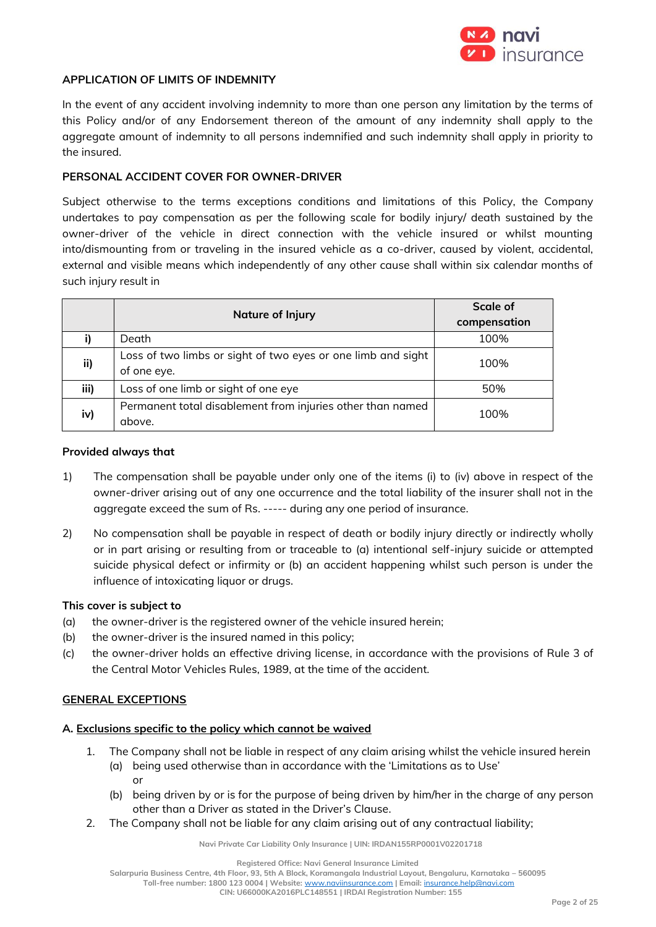

#### **APPLICATION OF LIMITS OF INDEMNITY**

In the event of any accident involving indemnity to more than one person any limitation by the terms of this Policy and/or of any Endorsement thereon of the amount of any indemnity shall apply to the aggregate amount of indemnity to all persons indemnified and such indemnity shall apply in priority to the insured.

#### **PERSONAL ACCIDENT COVER FOR OWNER-DRIVER**

Subject otherwise to the terms exceptions conditions and limitations of this Policy, the Company undertakes to pay compensation as per the following scale for bodily injury/ death sustained by the owner-driver of the vehicle in direct connection with the vehicle insured or whilst mounting into/dismounting from or traveling in the insured vehicle as a co-driver, caused by violent, accidental, external and visible means which independently of any other cause shall within six calendar months of such injury result in

|      | Nature of Injury                                             | <b>Scale of</b> |
|------|--------------------------------------------------------------|-----------------|
|      |                                                              | compensation    |
|      | Death                                                        | 100%            |
| ii)  | Loss of two limbs or sight of two eyes or one limb and sight | 100%            |
|      | of one eye.                                                  |                 |
| iii) | Loss of one limb or sight of one eye                         | 50%             |
| iv)  | Permanent total disablement from injuries other than named   | 100%            |
|      | above.                                                       |                 |

#### **Provided always that**

- 1) The compensation shall be payable under only one of the items (i) to (iv) above in respect of the owner-driver arising out of any one occurrence and the total liability of the insurer shall not in the aggregate exceed the sum of Rs. ----- during any one period of insurance.
- 2) No compensation shall be payable in respect of death or bodily injury directly or indirectly wholly or in part arising or resulting from or traceable to (a) intentional self-injury suicide or attempted suicide physical defect or infirmity or (b) an accident happening whilst such person is under the influence of intoxicating liquor or drugs.

#### **This cover is subject to**

- (a) the owner-driver is the registered owner of the vehicle insured herein;
- (b) the owner-driver is the insured named in this policy;
- (c) the owner-driver holds an effective driving license, in accordance with the provisions of Rule 3 of the Central Motor Vehicles Rules, 1989, at the time of the accident.

#### **GENERAL EXCEPTIONS**

## **A. Exclusions specific to the policy which cannot be waived**

- 1. The Company shall not be liable in respect of any claim arising whilst the vehicle insured herein (a) being used otherwise than in accordance with the 'Limitations as to Use' or
	- (b) being driven by or is for the purpose of being driven by him/her in the charge of any person other than a Driver as stated in the Driver's Clause.
- 2. The Company shall not be liable for any claim arising out of any contractual liability;

**Navi Private Car Liability Only Insurance | UIN: IRDAN155RP0001V02201718**

**Registered Office: Navi General Insurance Limited**

**Salarpuria Business Centre, 4th Floor, 93, 5th A Block, Koramangala Industrial Layout, Bengaluru, Karnataka – 560095**

**Toll-free number: 1800 123 0004 | Website:** [www.naviinsurance.com](http://www.naviinsurance.com/) **| Email:** [insurance.help@navi.com](mailto:insurance.help@navi.com)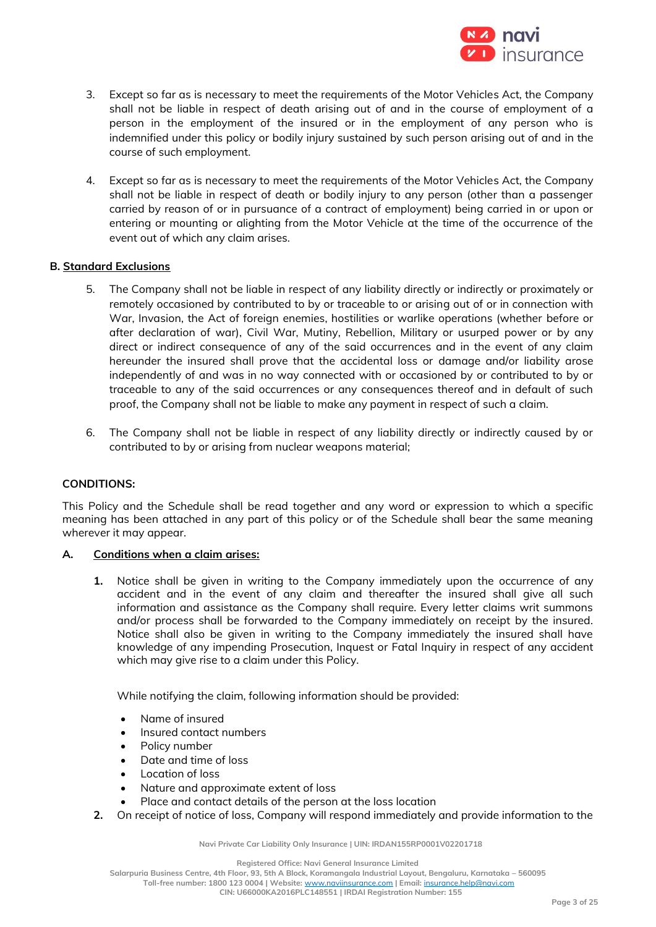

- 3. Except so far as is necessary to meet the requirements of the Motor Vehicles Act, the Company shall not be liable in respect of death arising out of and in the course of employment of a person in the employment of the insured or in the employment of any person who is indemnified under this policy or bodily injury sustained by such person arising out of and in the course of such employment.
- 4. Except so far as is necessary to meet the requirements of the Motor Vehicles Act, the Company shall not be liable in respect of death or bodily injury to any person (other than a passenger carried by reason of or in pursuance of a contract of employment) being carried in or upon or entering or mounting or alighting from the Motor Vehicle at the time of the occurrence of the event out of which any claim arises.

#### **B. Standard Exclusions**

- 5. The Company shall not be liable in respect of any liability directly or indirectly or proximately or remotely occasioned by contributed to by or traceable to or arising out of or in connection with War, Invasion, the Act of foreign enemies, hostilities or warlike operations (whether before or after declaration of war), Civil War, Mutiny, Rebellion, Military or usurped power or by any direct or indirect consequence of any of the said occurrences and in the event of any claim hereunder the insured shall prove that the accidental loss or damage and/or liability arose independently of and was in no way connected with or occasioned by or contributed to by or traceable to any of the said occurrences or any consequences thereof and in default of such proof, the Company shall not be liable to make any payment in respect of such a claim.
- 6. The Company shall not be liable in respect of any liability directly or indirectly caused by or contributed to by or arising from nuclear weapons material;

#### **CONDITIONS:**

This Policy and the Schedule shall be read together and any word or expression to which a specific meaning has been attached in any part of this policy or of the Schedule shall bear the same meaning wherever it may appear.

#### **A. Conditions when a claim arises:**

**1.** Notice shall be given in writing to the Company immediately upon the occurrence of any accident and in the event of any claim and thereafter the insured shall give all such information and assistance as the Company shall require. Every letter claims writ summons and/or process shall be forwarded to the Company immediately on receipt by the insured. Notice shall also be given in writing to the Company immediately the insured shall have knowledge of any impending Prosecution, Inquest or Fatal Inquiry in respect of any accident which may give rise to a claim under this Policy.

While notifying the claim, following information should be provided:

- Name of insured
- Insured contact numbers
- Policy number
- Date and time of loss
- Location of loss
- Nature and approximate extent of loss
- Place and contact details of the person at the loss location
- **2.** On receipt of notice of loss, Company will respond immediately and provide information to the

**Navi Private Car Liability Only Insurance | UIN: IRDAN155RP0001V02201718**

**Registered Office: Navi General Insurance Limited**

**Salarpuria Business Centre, 4th Floor, 93, 5th A Block, Koramangala Industrial Layout, Bengaluru, Karnataka – 560095**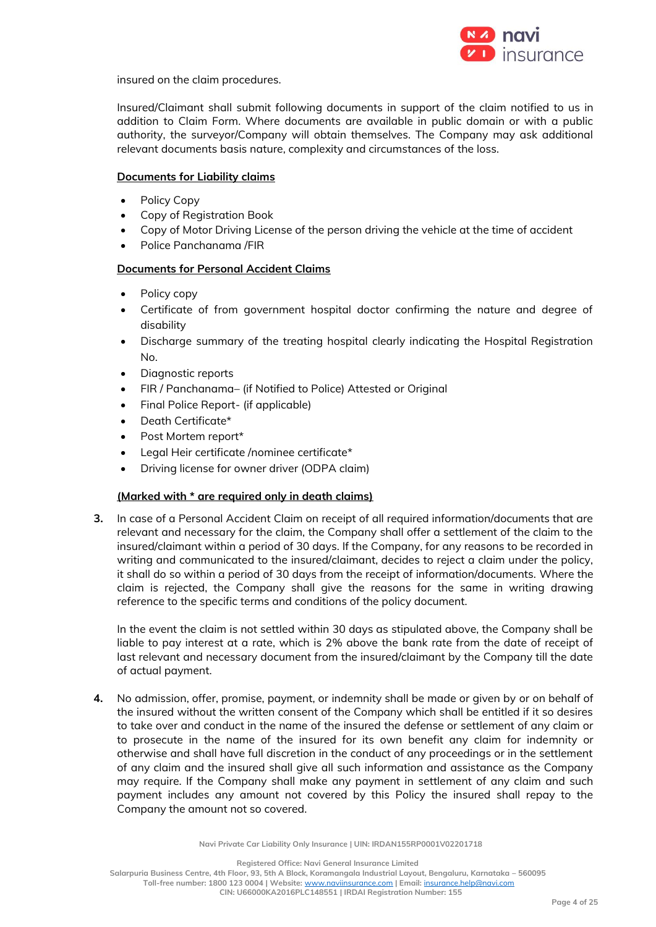

insured on the claim procedures.

Insured/Claimant shall submit following documents in support of the claim notified to us in addition to Claim Form. Where documents are available in public domain or with a public authority, the surveyor/Company will obtain themselves. The Company may ask additional relevant documents basis nature, complexity and circumstances of the loss.

#### **Documents for Liability claims**

- Policy Copy
- Copy of Registration Book
- Copy of Motor Driving License of the person driving the vehicle at the time of accident
- Police Panchanama /FIR

## **Documents for Personal Accident Claims**

- Policy copy
- Certificate of from government hospital doctor confirming the nature and degree of disability
- Discharge summary of the treating hospital clearly indicating the Hospital Registration No.
- Diagnostic reports
- FIR / Panchanama– (if Notified to Police) Attested or Original
- Final Police Report- (if applicable)
- Death Certificate\*
- Post Mortem report\*
- Legal Heir certificate /nominee certificate\*
- Driving license for owner driver (ODPA claim)

## **(Marked with \* are required only in death claims)**

**3.** In case of a Personal Accident Claim on receipt of all required information/documents that are relevant and necessary for the claim, the Company shall offer a settlement of the claim to the insured/claimant within a period of 30 days. If the Company, for any reasons to be recorded in writing and communicated to the insured/claimant, decides to reject a claim under the policy, it shall do so within a period of 30 days from the receipt of information/documents. Where the claim is rejected, the Company shall give the reasons for the same in writing drawing reference to the specific terms and conditions of the policy document.

In the event the claim is not settled within 30 days as stipulated above, the Company shall be liable to pay interest at a rate, which is 2% above the bank rate from the date of receipt of last relevant and necessary document from the insured/claimant by the Company till the date of actual payment.

**4.** No admission, offer, promise, payment, or indemnity shall be made or given by or on behalf of the insured without the written consent of the Company which shall be entitled if it so desires to take over and conduct in the name of the insured the defense or settlement of any claim or to prosecute in the name of the insured for its own benefit any claim for indemnity or otherwise and shall have full discretion in the conduct of any proceedings or in the settlement of any claim and the insured shall give all such information and assistance as the Company may require. If the Company shall make any payment in settlement of any claim and such payment includes any amount not covered by this Policy the insured shall repay to the Company the amount not so covered.

**Navi Private Car Liability Only Insurance | UIN: IRDAN155RP0001V02201718**

**Registered Office: Navi General Insurance Limited**

**Salarpuria Business Centre, 4th Floor, 93, 5th A Block, Koramangala Industrial Layout, Bengaluru, Karnataka – 560095**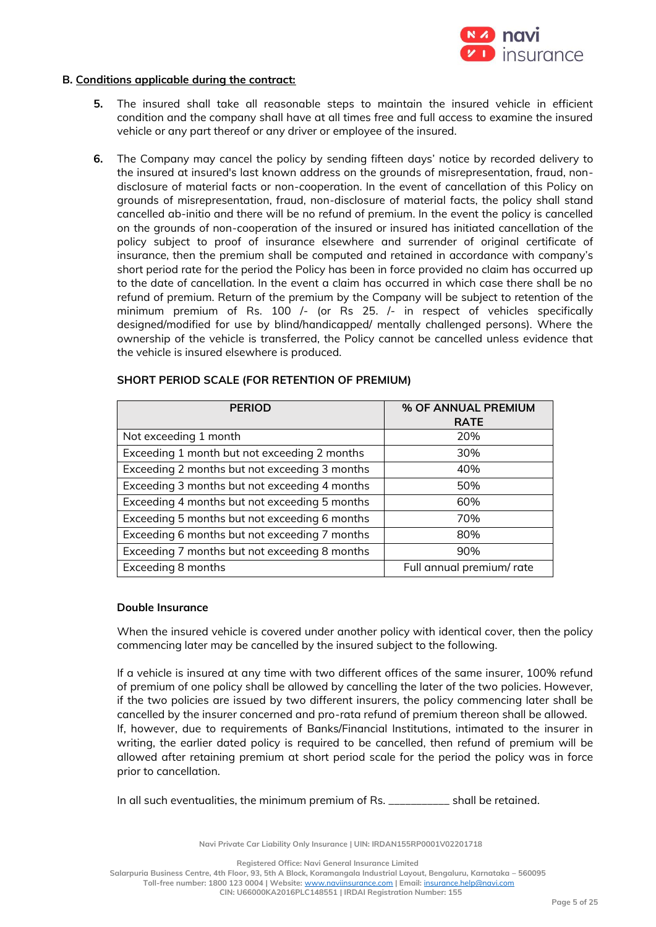

#### **B. Conditions applicable during the contract:**

- **5.** The insured shall take all reasonable steps to maintain the insured vehicle in efficient condition and the company shall have at all times free and full access to examine the insured vehicle or any part thereof or any driver or employee of the insured.
- **6.** The Company may cancel the policy by sending fifteen days' notice by recorded delivery to the insured at insured's last known address on the grounds of misrepresentation, fraud, nondisclosure of material facts or non-cooperation. In the event of cancellation of this Policy on grounds of misrepresentation, fraud, non-disclosure of material facts, the policy shall stand cancelled ab-initio and there will be no refund of premium. In the event the policy is cancelled on the grounds of non-cooperation of the insured or insured has initiated cancellation of the policy subject to proof of insurance elsewhere and surrender of original certificate of insurance, then the premium shall be computed and retained in accordance with company's short period rate for the period the Policy has been in force provided no claim has occurred up to the date of cancellation. In the event a claim has occurred in which case there shall be no refund of premium. Return of the premium by the Company will be subject to retention of the minimum premium of Rs. 100 /- (or Rs 25. /- in respect of vehicles specifically designed/modified for use by blind/handicapped/ mentally challenged persons). Where the ownership of the vehicle is transferred, the Policy cannot be cancelled unless evidence that the vehicle is insured elsewhere is produced.

| <b>PERIOD</b>                                 | % OF ANNUAL PREMIUM<br><b>RATE</b> |
|-----------------------------------------------|------------------------------------|
| Not exceeding 1 month                         | 20%                                |
| Exceeding 1 month but not exceeding 2 months  | 30%                                |
| Exceeding 2 months but not exceeding 3 months | 40%                                |
| Exceeding 3 months but not exceeding 4 months | 50%                                |
| Exceeding 4 months but not exceeding 5 months | 60%                                |
| Exceeding 5 months but not exceeding 6 months | 70%                                |
| Exceeding 6 months but not exceeding 7 months | 80%                                |
| Exceeding 7 months but not exceeding 8 months | 90%                                |
| Exceeding 8 months                            | Full annual premium/ rate          |

#### **SHORT PERIOD SCALE (FOR RETENTION OF PREMIUM)**

#### **Double Insurance**

When the insured vehicle is covered under another policy with identical cover, then the policy commencing later may be cancelled by the insured subject to the following.

If a vehicle is insured at any time with two different offices of the same insurer, 100% refund of premium of one policy shall be allowed by cancelling the later of the two policies. However, if the two policies are issued by two different insurers, the policy commencing later shall be cancelled by the insurer concerned and pro-rata refund of premium thereon shall be allowed. If, however, due to requirements of Banks/Financial Institutions, intimated to the insurer in writing, the earlier dated policy is required to be cancelled, then refund of premium will be allowed after retaining premium at short period scale for the period the policy was in force prior to cancellation.

In all such eventualities, the minimum premium of Rs. \_\_\_\_\_\_\_\_\_\_\_ shall be retained.

**Navi Private Car Liability Only Insurance | UIN: IRDAN155RP0001V02201718**

**Registered Office: Navi General Insurance Limited**

**Salarpuria Business Centre, 4th Floor, 93, 5th A Block, Koramangala Industrial Layout, Bengaluru, Karnataka – 560095**

**Toll-free number: 1800 123 0004 | Website:** [www.naviinsurance.com](http://www.naviinsurance.com/) **| Email:** [insurance.help@navi.com](mailto:insurance.help@navi.com)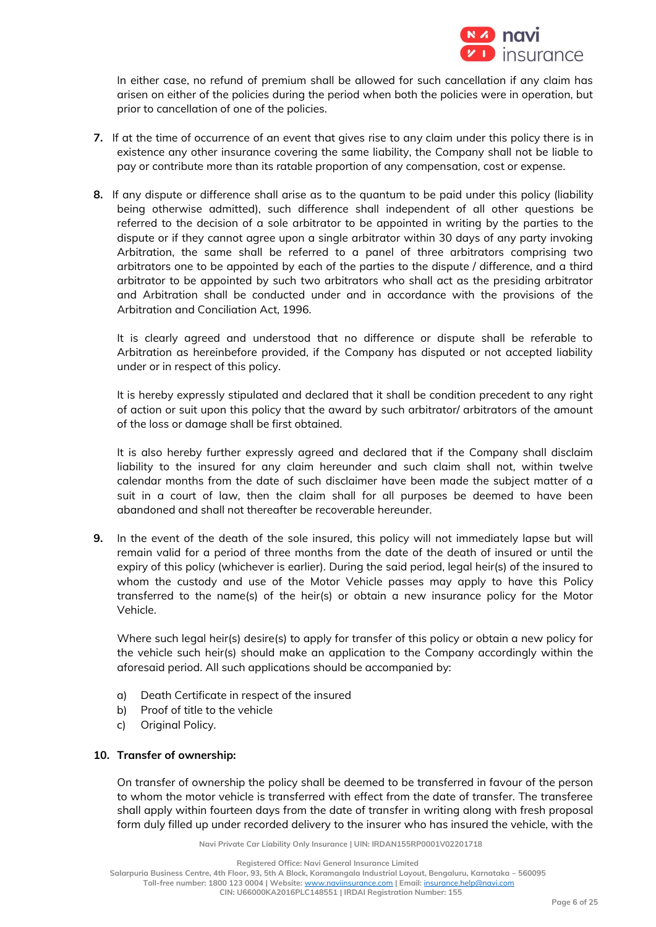

In either case, no refund of premium shall be allowed for such cancellation if any claim has arisen on either of the policies during the period when both the policies were in operation, but prior to cancellation of one of the policies.

- **7.** If at the time of occurrence of an event that gives rise to any claim under this policy there is in existence any other insurance covering the same liability, the Company shall not be liable to pay or contribute more than its ratable proportion of any compensation, cost or expense.
- **8.** If any dispute or difference shall arise as to the quantum to be paid under this policy (liability being otherwise admitted), such difference shall independent of all other questions be referred to the decision of a sole arbitrator to be appointed in writing by the parties to the dispute or if they cannot agree upon a single arbitrator within 30 days of any party invoking Arbitration, the same shall be referred to a panel of three arbitrators comprising two arbitrators one to be appointed by each of the parties to the dispute / difference, and a third arbitrator to be appointed by such two arbitrators who shall act as the presiding arbitrator and Arbitration shall be conducted under and in accordance with the provisions of the Arbitration and Conciliation Act, 1996.

It is clearly agreed and understood that no difference or dispute shall be referable to Arbitration as hereinbefore provided, if the Company has disputed or not accepted liability under or in respect of this policy.

It is hereby expressly stipulated and declared that it shall be condition precedent to any right of action or suit upon this policy that the award by such arbitrator/ arbitrators of the amount of the loss or damage shall be first obtained.

It is also hereby further expressly agreed and declared that if the Company shall disclaim liability to the insured for any claim hereunder and such claim shall not, within twelve calendar months from the date of such disclaimer have been made the subject matter of a suit in a court of law, then the claim shall for all purposes be deemed to have been abandoned and shall not thereafter be recoverable hereunder.

**9.** In the event of the death of the sole insured, this policy will not immediately lapse but will remain valid for a period of three months from the date of the death of insured or until the expiry of this policy (whichever is earlier). During the said period, legal heir(s) of the insured to whom the custody and use of the Motor Vehicle passes may apply to have this Policy transferred to the name(s) of the heir(s) or obtain a new insurance policy for the Motor Vehicle.

Where such legal heir(s) desire(s) to apply for transfer of this policy or obtain a new policy for the vehicle such heir(s) should make an application to the Company accordingly within the aforesaid period. All such applications should be accompanied by:

- a) Death Certificate in respect of the insured
- b) Proof of title to the vehicle
- c) Original Policy.

## **10. Transfer of ownership:**

On transfer of ownership the policy shall be deemed to be transferred in favour of the person to whom the motor vehicle is transferred with effect from the date of transfer. The transferee shall apply within fourteen days from the date of transfer in writing along with fresh proposal form duly filled up under recorded delivery to the insurer who has insured the vehicle, with the

**Navi Private Car Liability Only Insurance | UIN: IRDAN155RP0001V02201718**

**Registered Office: Navi General Insurance Limited**

**Salarpuria Business Centre, 4th Floor, 93, 5th A Block, Koramangala Industrial Layout, Bengaluru, Karnataka – 560095**

**Toll-free number: 1800 123 0004 | Website:** [www.naviinsurance.com](http://www.naviinsurance.com/) **| Email:** [insurance.help@navi.com](mailto:insurance.help@navi.com)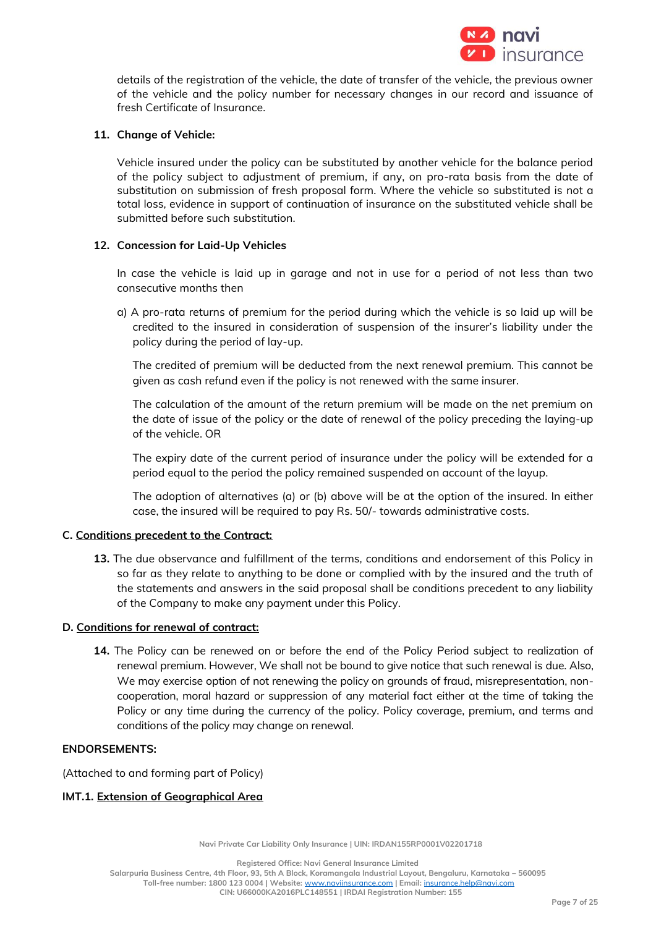

details of the registration of the vehicle, the date of transfer of the vehicle, the previous owner of the vehicle and the policy number for necessary changes in our record and issuance of fresh Certificate of Insurance.

## **11. Change of Vehicle:**

Vehicle insured under the policy can be substituted by another vehicle for the balance period of the policy subject to adjustment of premium, if any, on pro-rata basis from the date of substitution on submission of fresh proposal form. Where the vehicle so substituted is not a total loss, evidence in support of continuation of insurance on the substituted vehicle shall be submitted before such substitution.

#### **12. Concession for Laid-Up Vehicles**

In case the vehicle is laid up in garage and not in use for a period of not less than two consecutive months then

a) A pro-rata returns of premium for the period during which the vehicle is so laid up will be credited to the insured in consideration of suspension of the insurer's liability under the policy during the period of lay-up.

The credited of premium will be deducted from the next renewal premium. This cannot be given as cash refund even if the policy is not renewed with the same insurer.

The calculation of the amount of the return premium will be made on the net premium on the date of issue of the policy or the date of renewal of the policy preceding the laying-up of the vehicle. OR

The expiry date of the current period of insurance under the policy will be extended for a period equal to the period the policy remained suspended on account of the layup.

The adoption of alternatives (a) or (b) above will be at the option of the insured. In either case, the insured will be required to pay Rs. 50/- towards administrative costs.

## **C. Conditions precedent to the Contract:**

**13.** The due observance and fulfillment of the terms, conditions and endorsement of this Policy in so far as they relate to anything to be done or complied with by the insured and the truth of the statements and answers in the said proposal shall be conditions precedent to any liability of the Company to make any payment under this Policy.

#### **D. Conditions for renewal of contract:**

**14.** The Policy can be renewed on or before the end of the Policy Period subject to realization of renewal premium. However, We shall not be bound to give notice that such renewal is due. Also, We may exercise option of not renewing the policy on grounds of fraud, misrepresentation, noncooperation, moral hazard or suppression of any material fact either at the time of taking the Policy or any time during the currency of the policy. Policy coverage, premium, and terms and conditions of the policy may change on renewal.

#### **ENDORSEMENTS:**

(Attached to and forming part of Policy)

## **IMT.1. Extension of Geographical Area**

**Navi Private Car Liability Only Insurance | UIN: IRDAN155RP0001V02201718**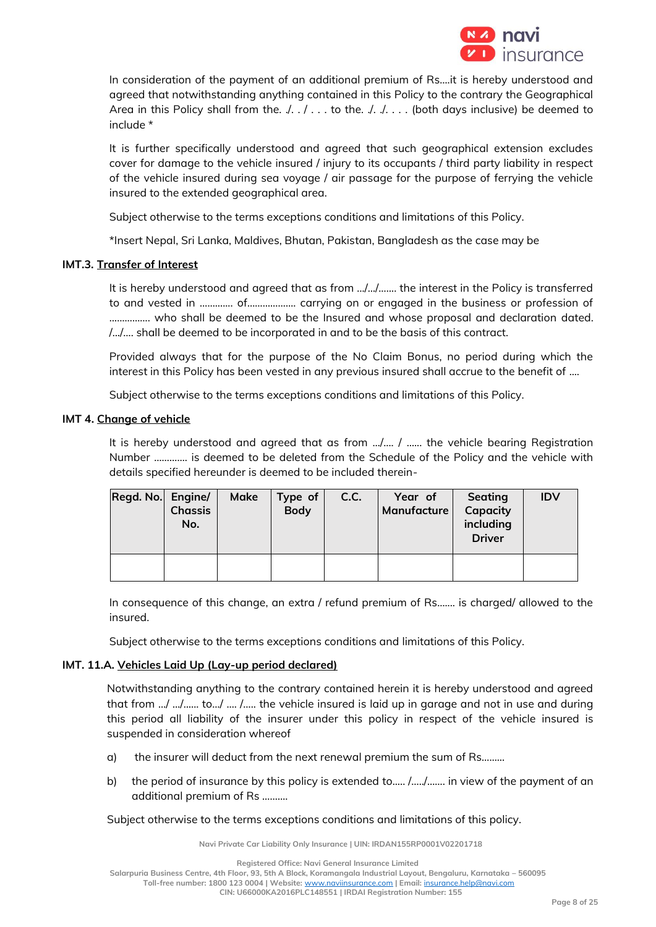

In consideration of the payment of an additional premium of Rs….it is hereby understood and agreed that notwithstanding anything contained in this Policy to the contrary the Geographical Area in this Policy shall from the.  $\ldots$  ... to the.  $\ldots$  ... (both days inclusive) be deemed to include \*

It is further specifically understood and agreed that such geographical extension excludes cover for damage to the vehicle insured / injury to its occupants / third party liability in respect of the vehicle insured during sea voyage / air passage for the purpose of ferrying the vehicle insured to the extended geographical area.

Subject otherwise to the terms exceptions conditions and limitations of this Policy.

\*Insert Nepal, Sri Lanka, Maldives, Bhutan, Pakistan, Bangladesh as the case may be

## **IMT.3. Transfer of Interest**

It is hereby understood and agreed that as from …/…/……. the interest in the Policy is transferred to and vested in ……….... of………………. carrying on or engaged in the business or profession of ……………. who shall be deemed to be the Insured and whose proposal and declaration dated. /…/…. shall be deemed to be incorporated in and to be the basis of this contract.

Provided always that for the purpose of the No Claim Bonus, no period during which the interest in this Policy has been vested in any previous insured shall accrue to the benefit of ....

Subject otherwise to the terms exceptions conditions and limitations of this Policy.

## **IMT 4. Change of vehicle**

It is hereby understood and agreed that as from .../.... / ...... the vehicle bearing Registration Number …………. is deemed to be deleted from the Schedule of the Policy and the vehicle with details specified hereunder is deemed to be included therein-

| Regd. No. Engine/ | <b>Chassis</b><br>No. | Make | Type of<br><b>Body</b> | C.C. | Year of<br>Manufacture | Seating<br>Capacity<br>including<br><b>Driver</b> | <b>IDV</b> |
|-------------------|-----------------------|------|------------------------|------|------------------------|---------------------------------------------------|------------|
|                   |                       |      |                        |      |                        |                                                   |            |

In consequence of this change, an extra / refund premium of Rs….... is charged/ allowed to the insured.

Subject otherwise to the terms exceptions conditions and limitations of this Policy.

## **IMT. 11.A. Vehicles Laid Up (Lay-up period declared)**

Notwithstanding anything to the contrary contained herein it is hereby understood and agreed that from …/ …/…... to…/ …. /….. the vehicle insured is laid up in garage and not in use and during this period all liability of the insurer under this policy in respect of the vehicle insured is suspended in consideration whereof

- a) the insurer will deduct from the next renewal premium the sum of Rs………
- b) the period of insurance by this policy is extended to..... /............. in view of the payment of an additional premium of Rs ……….

Subject otherwise to the terms exceptions conditions and limitations of this policy.

**Navi Private Car Liability Only Insurance | UIN: IRDAN155RP0001V02201718**

**Salarpuria Business Centre, 4th Floor, 93, 5th A Block, Koramangala Industrial Layout, Bengaluru, Karnataka – 560095**

**Toll-free number: 1800 123 0004 | Website:** [www.naviinsurance.com](http://www.naviinsurance.com/) **| Email:** [insurance.help@navi.com](mailto:insurance.help@navi.com)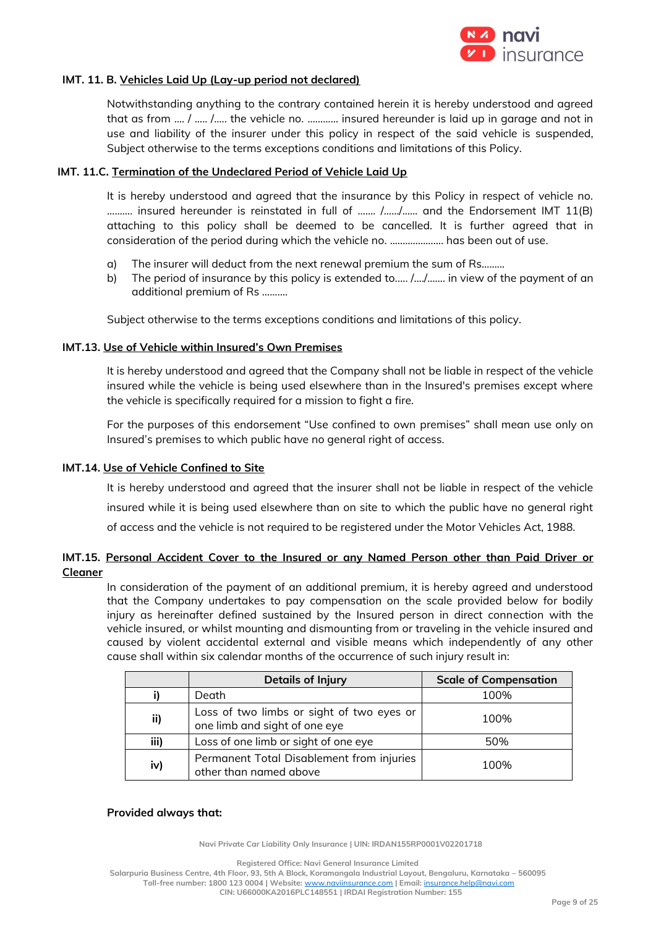

## **IMT. 11. B. Vehicles Laid Up (Lay-up period not declared)**

Notwithstanding anything to the contrary contained herein it is hereby understood and agreed that as from …. / ….. /….. the vehicle no. ………… insured hereunder is laid up in garage and not in use and liability of the insurer under this policy in respect of the said vehicle is suspended, Subject otherwise to the terms exceptions conditions and limitations of this Policy.

#### **IMT. 11.C. Termination of the Undeclared Period of Vehicle Laid Up**

It is hereby understood and agreed that the insurance by this Policy in respect of vehicle no. ………. insured hereunder is reinstated in full of ……. /……/…… and the Endorsement IMT 11(B) attaching to this policy shall be deemed to be cancelled. It is further agreed that in consideration of the period during which the vehicle no. ..………………. has been out of use.

- a) The insurer will deduct from the next renewal premium the sum of Rs………
- b) The period of insurance by this policy is extended to.…. /…./……. in view of the payment of an additional premium of Rs ……….

Subject otherwise to the terms exceptions conditions and limitations of this policy.

#### **IMT.13. Use of Vehicle within Insured's Own Premises**

It is hereby understood and agreed that the Company shall not be liable in respect of the vehicle insured while the vehicle is being used elsewhere than in the Insured's premises except where the vehicle is specifically required for a mission to fight a fire.

For the purposes of this endorsement "Use confined to own premises" shall mean use only on Insured's premises to which public have no general right of access.

#### **IMT.14. Use of Vehicle Confined to Site**

It is hereby understood and agreed that the insurer shall not be liable in respect of the vehicle insured while it is being used elsewhere than on site to which the public have no general right of access and the vehicle is not required to be registered under the Motor Vehicles Act, 1988.

## **IMT.15. Personal Accident Cover to the Insured or any Named Person other than Paid Driver or Cleaner**

In consideration of the payment of an additional premium, it is hereby agreed and understood that the Company undertakes to pay compensation on the scale provided below for bodily injury as hereinafter defined sustained by the Insured person in direct connection with the vehicle insured, or whilst mounting and dismounting from or traveling in the vehicle insured and caused by violent accidental external and visible means which independently of any other cause shall within six calendar months of the occurrence of such injury result in:

|      | <b>Details of Injury</b>                                                   | <b>Scale of Compensation</b> |
|------|----------------------------------------------------------------------------|------------------------------|
|      | Death                                                                      | 100%                         |
| ii)  | Loss of two limbs or sight of two eyes or<br>one limb and sight of one eye | 100%                         |
| iii) | Loss of one limb or sight of one eye                                       | 50%                          |
| iv)  | Permanent Total Disablement from injuries<br>other than named above        | 100%                         |

#### **Provided always that:**

**Navi Private Car Liability Only Insurance | UIN: IRDAN155RP0001V02201718**

**Registered Office: Navi General Insurance Limited**

**Salarpuria Business Centre, 4th Floor, 93, 5th A Block, Koramangala Industrial Layout, Bengaluru, Karnataka – 560095**

**Toll-free number: 1800 123 0004 | Website:** [www.naviinsurance.com](http://www.naviinsurance.com/) **| Email:** [insurance.help@navi.com](mailto:insurance.help@navi.com)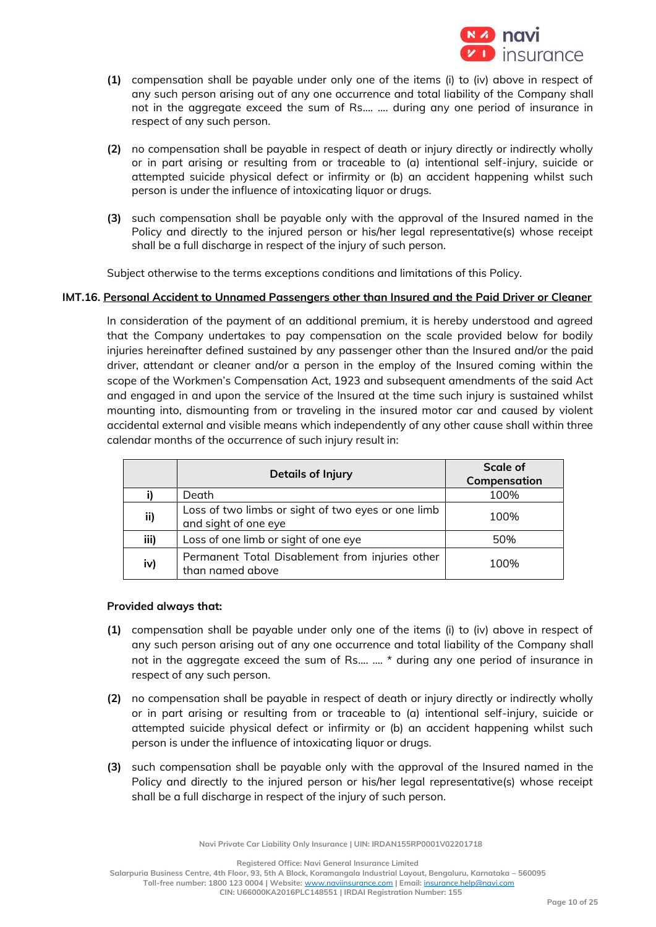

- **(1)** compensation shall be payable under only one of the items (i) to (iv) above in respect of any such person arising out of any one occurrence and total liability of the Company shall not in the aggregate exceed the sum of Rs.... …. during any one period of insurance in respect of any such person.
- **(2)** no compensation shall be payable in respect of death or injury directly or indirectly wholly or in part arising or resulting from or traceable to (a) intentional self-injury, suicide or attempted suicide physical defect or infirmity or (b) an accident happening whilst such person is under the influence of intoxicating liquor or drugs.
- **(3)** such compensation shall be payable only with the approval of the Insured named in the Policy and directly to the injured person or his/her legal representative(s) whose receipt shall be a full discharge in respect of the injury of such person.

Subject otherwise to the terms exceptions conditions and limitations of this Policy.

## **IMT.16. Personal Accident to Unnamed Passengers other than Insured and the Paid Driver or Cleaner**

In consideration of the payment of an additional premium, it is hereby understood and agreed that the Company undertakes to pay compensation on the scale provided below for bodily injuries hereinafter defined sustained by any passenger other than the Insured and/or the paid driver, attendant or cleaner and/or a person in the employ of the Insured coming within the scope of the Workmen's Compensation Act, 1923 and subsequent amendments of the said Act and engaged in and upon the service of the Insured at the time such injury is sustained whilst mounting into, dismounting from or traveling in the insured motor car and caused by violent accidental external and visible means which independently of any other cause shall within three calendar months of the occurrence of such injury result in:

|      | <b>Details of Injury</b>                                                   | Scale of     |
|------|----------------------------------------------------------------------------|--------------|
|      |                                                                            | Compensation |
|      | Death                                                                      | 100%         |
| ii)  | Loss of two limbs or sight of two eyes or one limb<br>and sight of one eye | 100%         |
| iii) | Loss of one limb or sight of one eye                                       | 50%          |
| iv)  | Permanent Total Disablement from injuries other<br>than named above        | 100%         |

## **Provided always that:**

- **(1)** compensation shall be payable under only one of the items (i) to (iv) above in respect of any such person arising out of any one occurrence and total liability of the Company shall not in the aggregate exceed the sum of Rs.... …. \* during any one period of insurance in respect of any such person.
- **(2)** no compensation shall be payable in respect of death or injury directly or indirectly wholly or in part arising or resulting from or traceable to (a) intentional self-injury, suicide or attempted suicide physical defect or infirmity or (b) an accident happening whilst such person is under the influence of intoxicating liquor or drugs.
- **(3)** such compensation shall be payable only with the approval of the Insured named in the Policy and directly to the injured person or his/her legal representative(s) whose receipt shall be a full discharge in respect of the injury of such person.

**Navi Private Car Liability Only Insurance | UIN: IRDAN155RP0001V02201718**

**Registered Office: Navi General Insurance Limited**

**Salarpuria Business Centre, 4th Floor, 93, 5th A Block, Koramangala Industrial Layout, Bengaluru, Karnataka – 560095**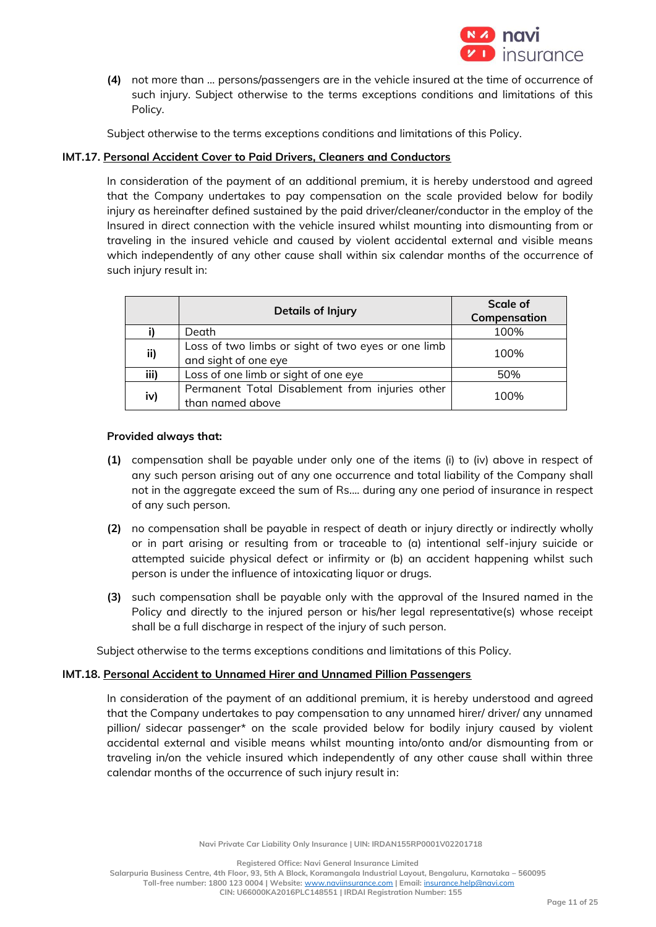

**(4)** not more than … persons/passengers are in the vehicle insured at the time of occurrence of such injury. Subject otherwise to the terms exceptions conditions and limitations of this Policy.

Subject otherwise to the terms exceptions conditions and limitations of this Policy.

## **IMT.17. Personal Accident Cover to Paid Drivers, Cleaners and Conductors**

In consideration of the payment of an additional premium, it is hereby understood and agreed that the Company undertakes to pay compensation on the scale provided below for bodily injury as hereinafter defined sustained by the paid driver/cleaner/conductor in the employ of the Insured in direct connection with the vehicle insured whilst mounting into dismounting from or traveling in the insured vehicle and caused by violent accidental external and visible means which independently of any other cause shall within six calendar months of the occurrence of such injury result in:

|      | <b>Details of Injury</b>                                                   | Scale of<br>Compensation |
|------|----------------------------------------------------------------------------|--------------------------|
|      | Death                                                                      | 100%                     |
| ii)  | Loss of two limbs or sight of two eyes or one limb<br>and sight of one eye | 100%                     |
| iii) | Loss of one limb or sight of one eye                                       | 50%                      |
| iv)  | Permanent Total Disablement from injuries other<br>than named above        | 100%                     |

## **Provided always that:**

- **(1)** compensation shall be payable under only one of the items (i) to (iv) above in respect of any such person arising out of any one occurrence and total liability of the Company shall not in the aggregate exceed the sum of Rs.... during any one period of insurance in respect of any such person.
- **(2)** no compensation shall be payable in respect of death or injury directly or indirectly wholly or in part arising or resulting from or traceable to (a) intentional self-injury suicide or attempted suicide physical defect or infirmity or (b) an accident happening whilst such person is under the influence of intoxicating liquor or drugs.
- **(3)** such compensation shall be payable only with the approval of the Insured named in the Policy and directly to the injured person or his/her legal representative(s) whose receipt shall be a full discharge in respect of the injury of such person.

Subject otherwise to the terms exceptions conditions and limitations of this Policy.

## **IMT.18. Personal Accident to Unnamed Hirer and Unnamed Pillion Passengers**

In consideration of the payment of an additional premium, it is hereby understood and agreed that the Company undertakes to pay compensation to any unnamed hirer/ driver/ any unnamed pillion/ sidecar passenger\* on the scale provided below for bodily injury caused by violent accidental external and visible means whilst mounting into/onto and/or dismounting from or traveling in/on the vehicle insured which independently of any other cause shall within three calendar months of the occurrence of such injury result in:

**Registered Office: Navi General Insurance Limited**

**Salarpuria Business Centre, 4th Floor, 93, 5th A Block, Koramangala Industrial Layout, Bengaluru, Karnataka – 560095**

**Toll-free number: 1800 123 0004 | Website:** [www.naviinsurance.com](http://www.naviinsurance.com/) **| Email:** [insurance.help@navi.com](mailto:insurance.help@navi.com) **CIN: U66000KA2016PLC148551 | IRDAI Registration Number: 155**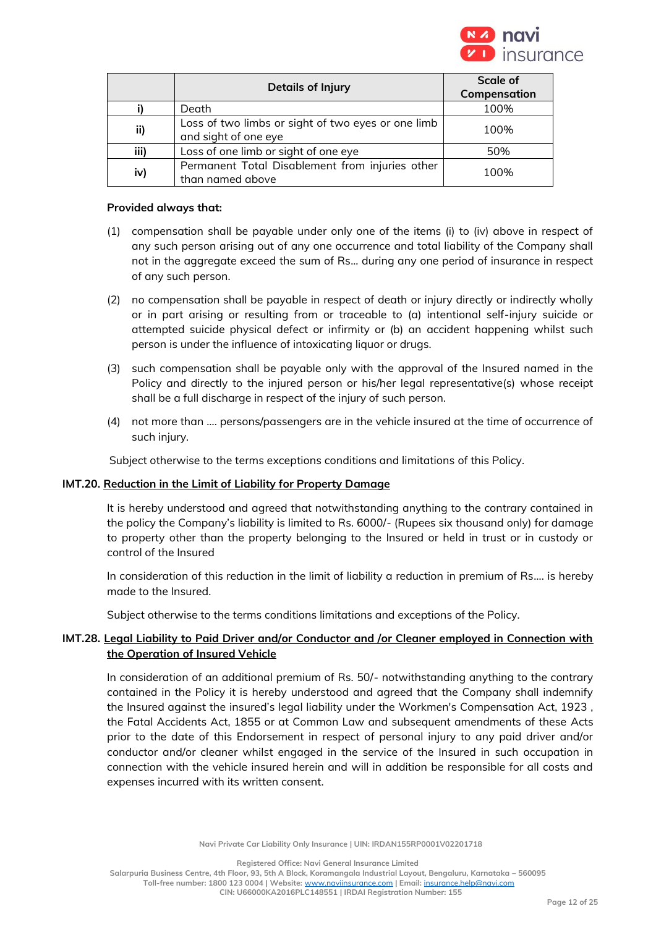

|      | <b>Details of Injury</b>                                                   | Scale of     |
|------|----------------------------------------------------------------------------|--------------|
|      |                                                                            | Compensation |
|      | Death                                                                      | 100%         |
| ii)  | Loss of two limbs or sight of two eyes or one limb<br>and sight of one eye | 100%         |
| iii) | Loss of one limb or sight of one eye                                       | 50%          |
| iv)  | Permanent Total Disablement from injuries other<br>than named above        | 100%         |

#### **Provided always that:**

- (1) compensation shall be payable under only one of the items (i) to (iv) above in respect of any such person arising out of any one occurrence and total liability of the Company shall not in the aggregate exceed the sum of Rs... during any one period of insurance in respect of any such person.
- (2) no compensation shall be payable in respect of death or injury directly or indirectly wholly or in part arising or resulting from or traceable to (a) intentional self-injury suicide or attempted suicide physical defect or infirmity or (b) an accident happening whilst such person is under the influence of intoxicating liquor or drugs.
- (3) such compensation shall be payable only with the approval of the Insured named in the Policy and directly to the injured person or his/her legal representative(s) whose receipt shall be a full discharge in respect of the injury of such person.
- (4) not more than …. persons/passengers are in the vehicle insured at the time of occurrence of such injury.

Subject otherwise to the terms exceptions conditions and limitations of this Policy.

## **IMT.20. Reduction in the Limit of Liability for Property Damage**

It is hereby understood and agreed that notwithstanding anything to the contrary contained in the policy the Company's liability is limited to Rs. 6000/- (Rupees six thousand only) for damage to property other than the property belonging to the Insured or held in trust or in custody or control of the Insured

In consideration of this reduction in the limit of liability a reduction in premium of Rs…. is hereby made to the Insured.

Subject otherwise to the terms conditions limitations and exceptions of the Policy.

## **IMT.28. Legal Liability to Paid Driver and/or Conductor and /or Cleaner employed in Connection with the Operation of Insured Vehicle**

In consideration of an additional premium of Rs. 50/- notwithstanding anything to the contrary contained in the Policy it is hereby understood and agreed that the Company shall indemnify the Insured against the insured's legal liability under the Workmen's Compensation Act, 1923 , the Fatal Accidents Act, 1855 or at Common Law and subsequent amendments of these Acts prior to the date of this Endorsement in respect of personal injury to any paid driver and/or conductor and/or cleaner whilst engaged in the service of the Insured in such occupation in connection with the vehicle insured herein and will in addition be responsible for all costs and expenses incurred with its written consent.

**Navi Private Car Liability Only Insurance | UIN: IRDAN155RP0001V02201718**

**Registered Office: Navi General Insurance Limited**

**Salarpuria Business Centre, 4th Floor, 93, 5th A Block, Koramangala Industrial Layout, Bengaluru, Karnataka – 560095 Toll-free number: 1800 123 0004 | Website:** [www.naviinsurance.com](http://www.naviinsurance.com/) **| Email:** [insurance.help@navi.com](mailto:insurance.help@navi.com)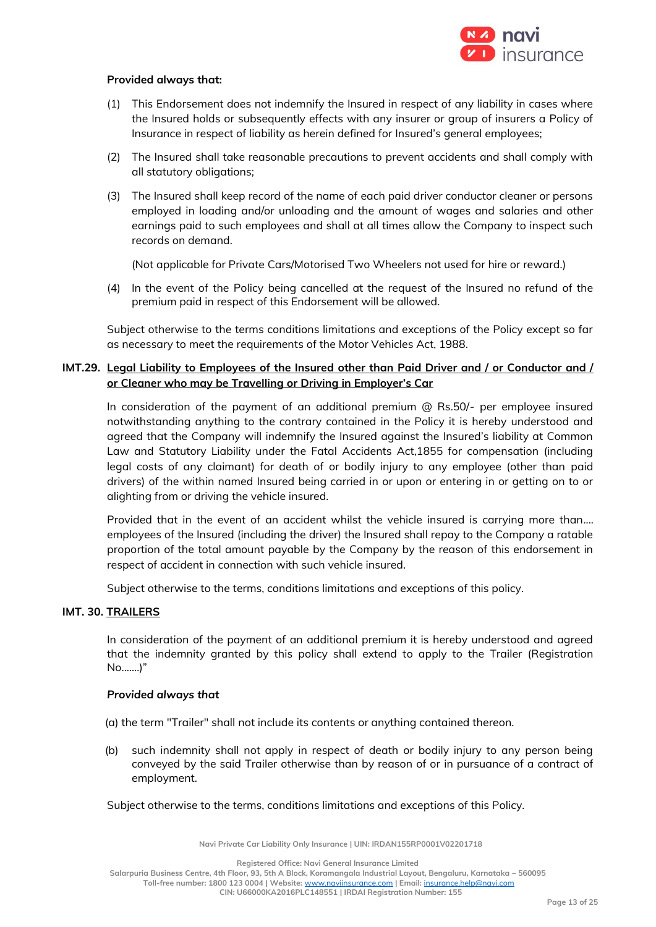

#### **Provided always that:**

- (1) This Endorsement does not indemnify the Insured in respect of any liability in cases where the Insured holds or subsequently effects with any insurer or group of insurers a Policy of Insurance in respect of liability as herein defined for Insured's general employees;
- (2) The Insured shall take reasonable precautions to prevent accidents and shall comply with all statutory obligations;
- (3) The Insured shall keep record of the name of each paid driver conductor cleaner or persons employed in loading and/or unloading and the amount of wages and salaries and other earnings paid to such employees and shall at all times allow the Company to inspect such records on demand.

(Not applicable for Private Cars/Motorised Two Wheelers not used for hire or reward.)

(4) In the event of the Policy being cancelled at the request of the Insured no refund of the premium paid in respect of this Endorsement will be allowed.

Subject otherwise to the terms conditions limitations and exceptions of the Policy except so far as necessary to meet the requirements of the Motor Vehicles Act, 1988.

## **IMT.29. Legal Liability to Employees of the Insured other than Paid Driver and / or Conductor and / or Cleaner who may be Travelling or Driving in Employer's Car**

In consideration of the payment of an additional premium @ Rs.50/- per employee insured notwithstanding anything to the contrary contained in the Policy it is hereby understood and agreed that the Company will indemnify the Insured against the Insured's liability at Common Law and Statutory Liability under the Fatal Accidents Act,1855 for compensation (including legal costs of any claimant) for death of or bodily injury to any employee (other than paid drivers) of the within named Insured being carried in or upon or entering in or getting on to or alighting from or driving the vehicle insured.

Provided that in the event of an accident whilst the vehicle insured is carrying more than.... employees of the Insured (including the driver) the Insured shall repay to the Company a ratable proportion of the total amount payable by the Company by the reason of this endorsement in respect of accident in connection with such vehicle insured.

Subject otherwise to the terms, conditions limitations and exceptions of this policy.

#### **IMT. 30. TRAILERS**

In consideration of the payment of an additional premium it is hereby understood and agreed that the indemnity granted by this policy shall extend to apply to the Trailer (Registration No.......)"

#### *Provided always that*

(a) the term "Trailer" shall not include its contents or anything contained thereon.

(b) such indemnity shall not apply in respect of death or bodily injury to any person being conveyed by the said Trailer otherwise than by reason of or in pursuance of a contract of employment.

Subject otherwise to the terms, conditions limitations and exceptions of this Policy.

**Navi Private Car Liability Only Insurance | UIN: IRDAN155RP0001V02201718**

**Registered Office: Navi General Insurance Limited**

**Salarpuria Business Centre, 4th Floor, 93, 5th A Block, Koramangala Industrial Layout, Bengaluru, Karnataka – 560095**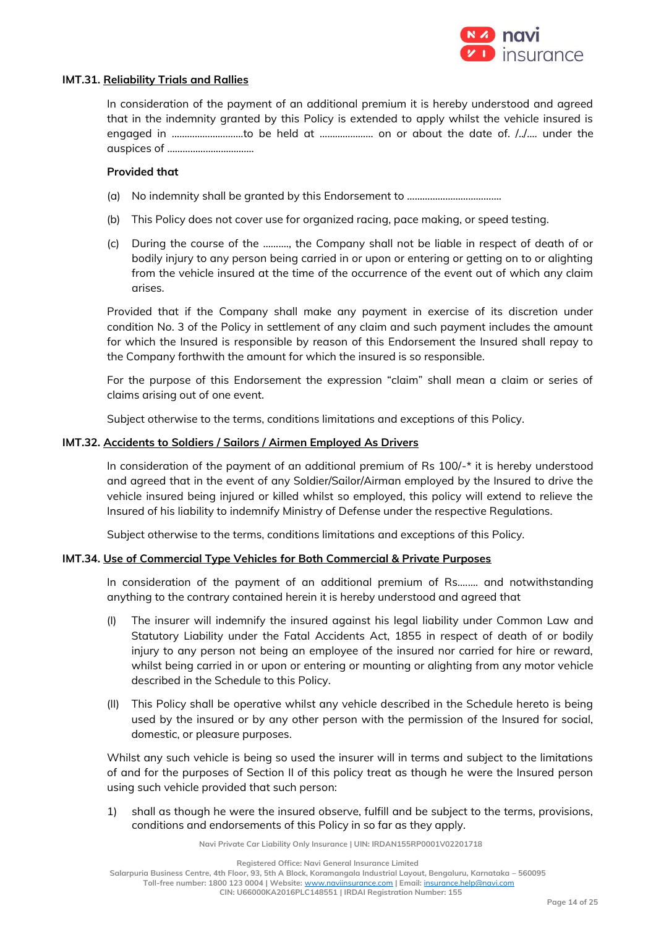

#### **IMT.31. Reliability Trials and Rallies**

In consideration of the payment of an additional premium it is hereby understood and agreed that in the indemnity granted by this Policy is extended to apply whilst the vehicle insured is engaged in ……………………….to be held at ………………… on or about the date of. /../…. under the auspices of …………………………….

#### **Provided that**

- (a) No indemnity shall be granted by this Endorsement to ……………………………….
- (b) This Policy does not cover use for organized racing, pace making, or speed testing.
- (c) During the course of the ………., the Company shall not be liable in respect of death of or bodily injury to any person being carried in or upon or entering or getting on to or alighting from the vehicle insured at the time of the occurrence of the event out of which any claim arises.

Provided that if the Company shall make any payment in exercise of its discretion under condition No. 3 of the Policy in settlement of any claim and such payment includes the amount for which the Insured is responsible by reason of this Endorsement the Insured shall repay to the Company forthwith the amount for which the insured is so responsible.

For the purpose of this Endorsement the expression "claim" shall mean a claim or series of claims arising out of one event.

Subject otherwise to the terms, conditions limitations and exceptions of this Policy.

#### **IMT.32. Accidents to Soldiers / Sailors / Airmen Employed As Drivers**

In consideration of the payment of an additional premium of Rs 100/-\* it is hereby understood and agreed that in the event of any Soldier/Sailor/Airman employed by the Insured to drive the vehicle insured being injured or killed whilst so employed, this policy will extend to relieve the Insured of his liability to indemnify Ministry of Defense under the respective Regulations.

Subject otherwise to the terms, conditions limitations and exceptions of this Policy.

## **IMT.34. Use of Commercial Type Vehicles for Both Commercial & Private Purposes**

In consideration of the payment of an additional premium of Rs.……. and notwithstanding anything to the contrary contained herein it is hereby understood and agreed that

- (I) The insurer will indemnify the insured against his legal liability under Common Law and Statutory Liability under the Fatal Accidents Act, 1855 in respect of death of or bodily injury to any person not being an employee of the insured nor carried for hire or reward, whilst being carried in or upon or entering or mounting or alighting from any motor vehicle described in the Schedule to this Policy.
- (II) This Policy shall be operative whilst any vehicle described in the Schedule hereto is being used by the insured or by any other person with the permission of the Insured for social, domestic, or pleasure purposes.

Whilst any such vehicle is being so used the insurer will in terms and subject to the limitations of and for the purposes of Section II of this policy treat as though he were the Insured person using such vehicle provided that such person:

1) shall as though he were the insured observe, fulfill and be subject to the terms, provisions, conditions and endorsements of this Policy in so far as they apply.

**Navi Private Car Liability Only Insurance | UIN: IRDAN155RP0001V02201718**

**Registered Office: Navi General Insurance Limited Salarpuria Business Centre, 4th Floor, 93, 5th A Block, Koramangala Industrial Layout, Bengaluru, Karnataka – 560095 Toll-free number: 1800 123 0004 | Website:** [www.naviinsurance.com](http://www.naviinsurance.com/) **| Email:** [insurance.help@navi.com](mailto:insurance.help@navi.com) **CIN: U66000KA2016PLC148551 | IRDAI Registration Number: 155**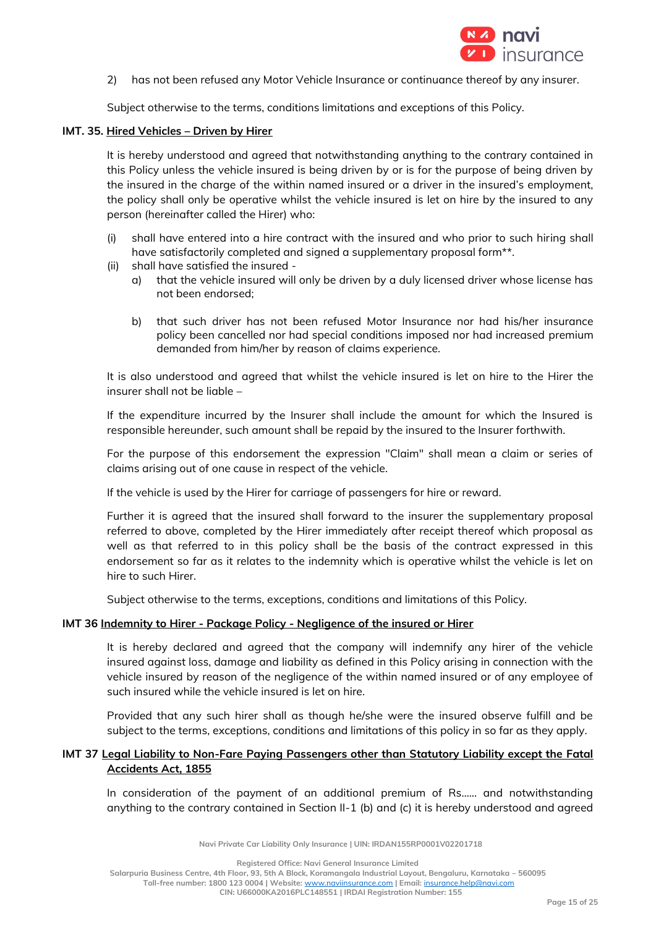

2) has not been refused any Motor Vehicle Insurance or continuance thereof by any insurer.

Subject otherwise to the terms, conditions limitations and exceptions of this Policy.

#### **IMT. 35. Hired Vehicles – Driven by Hirer**

It is hereby understood and agreed that notwithstanding anything to the contrary contained in this Policy unless the vehicle insured is being driven by or is for the purpose of being driven by the insured in the charge of the within named insured or a driver in the insured's employment, the policy shall only be operative whilst the vehicle insured is let on hire by the insured to any person (hereinafter called the Hirer) who:

- (i) shall have entered into a hire contract with the insured and who prior to such hiring shall have satisfactorily completed and signed a supplementary proposal form\*\*.
- (ii) shall have satisfied the insured
	- a) that the vehicle insured will only be driven by a duly licensed driver whose license has not been endorsed;
	- b) that such driver has not been refused Motor Insurance nor had his/her insurance policy been cancelled nor had special conditions imposed nor had increased premium demanded from him/her by reason of claims experience.

It is also understood and agreed that whilst the vehicle insured is let on hire to the Hirer the insurer shall not be liable –

If the expenditure incurred by the Insurer shall include the amount for which the Insured is responsible hereunder, such amount shall be repaid by the insured to the Insurer forthwith.

For the purpose of this endorsement the expression "Claim" shall mean a claim or series of claims arising out of one cause in respect of the vehicle.

If the vehicle is used by the Hirer for carriage of passengers for hire or reward.

Further it is agreed that the insured shall forward to the insurer the supplementary proposal referred to above, completed by the Hirer immediately after receipt thereof which proposal as well as that referred to in this policy shall be the basis of the contract expressed in this endorsement so far as it relates to the indemnity which is operative whilst the vehicle is let on hire to such Hirer.

Subject otherwise to the terms, exceptions, conditions and limitations of this Policy.

## **IMT 36 Indemnity to Hirer - Package Policy - Negligence of the insured or Hirer**

It is hereby declared and agreed that the company will indemnify any hirer of the vehicle insured against loss, damage and liability as defined in this Policy arising in connection with the vehicle insured by reason of the negligence of the within named insured or of any employee of such insured while the vehicle insured is let on hire.

Provided that any such hirer shall as though he/she were the insured observe fulfill and be subject to the terms, exceptions, conditions and limitations of this policy in so far as they apply.

## **IMT 37 Legal Liability to Non-Fare Paying Passengers other than Statutory Liability except the Fatal Accidents Act, 1855**

In consideration of the payment of an additional premium of Rs…… and notwithstanding anything to the contrary contained in Section II-1 (b) and (c) it is hereby understood and agreed

**Navi Private Car Liability Only Insurance | UIN: IRDAN155RP0001V02201718**

**Registered Office: Navi General Insurance Limited**

**Salarpuria Business Centre, 4th Floor, 93, 5th A Block, Koramangala Industrial Layout, Bengaluru, Karnataka – 560095**

**Toll-free number: 1800 123 0004 | Website:** [www.naviinsurance.com](http://www.naviinsurance.com/) **| Email:** [insurance.help@navi.com](mailto:insurance.help@navi.com)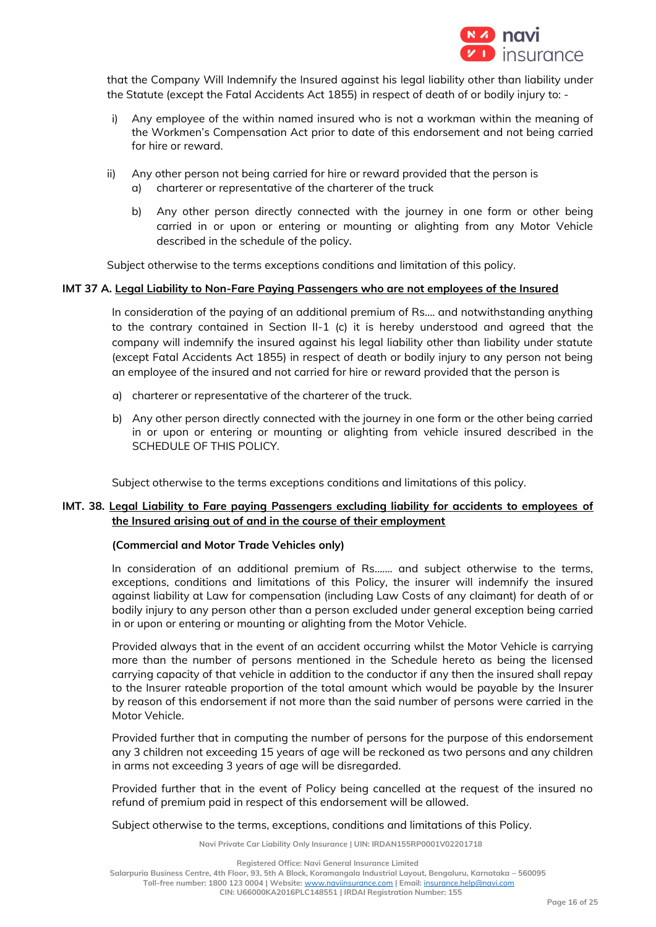

that the Company Will Indemnify the Insured against his legal liability other than liability under the Statute (except the Fatal Accidents Act 1855) in respect of death of or bodily injury to: -

- i) Any employee of the within named insured who is not a workman within the meaning of the Workmen's Compensation Act prior to date of this endorsement and not being carried for hire or reward.
- ii) Any other person not being carried for hire or reward provided that the person is a) charterer or representative of the charterer of the truck
	- b) Any other person directly connected with the journey in one form or other being carried in or upon or entering or mounting or alighting from any Motor Vehicle described in the schedule of the policy.

Subject otherwise to the terms exceptions conditions and limitation of this policy.

#### **IMT 37 A. Legal Liability to Non-Fare Paying Passengers who are not employees of the Insured**

In consideration of the paying of an additional premium of Rs…. and notwithstanding anything to the contrary contained in Section II-1 (c) it is hereby understood and agreed that the company will indemnify the insured against his legal liability other than liability under statute (except Fatal Accidents Act 1855) in respect of death or bodily injury to any person not being an employee of the insured and not carried for hire or reward provided that the person is

- a) charterer or representative of the charterer of the truck.
- b) Any other person directly connected with the journey in one form or the other being carried in or upon or entering or mounting or alighting from vehicle insured described in the SCHEDULE OF THIS POLICY.

Subject otherwise to the terms exceptions conditions and limitations of this policy.

## **IMT. 38. Legal Liability to Fare paying Passengers excluding liability for accidents to employees of the Insured arising out of and in the course of their employment**

## **(Commercial and Motor Trade Vehicles only)**

In consideration of an additional premium of Rs....... and subject otherwise to the terms, exceptions, conditions and limitations of this Policy, the insurer will indemnify the insured against liability at Law for compensation (including Law Costs of any claimant) for death of or bodily injury to any person other than a person excluded under general exception being carried in or upon or entering or mounting or alighting from the Motor Vehicle.

Provided always that in the event of an accident occurring whilst the Motor Vehicle is carrying more than the number of persons mentioned in the Schedule hereto as being the licensed carrying capacity of that vehicle in addition to the conductor if any then the insured shall repay to the Insurer rateable proportion of the total amount which would be payable by the Insurer by reason of this endorsement if not more than the said number of persons were carried in the Motor Vehicle.

Provided further that in computing the number of persons for the purpose of this endorsement any 3 children not exceeding 15 years of age will be reckoned as two persons and any children in arms not exceeding 3 years of age will be disregarded.

Provided further that in the event of Policy being cancelled at the request of the insured no refund of premium paid in respect of this endorsement will be allowed.

Subject otherwise to the terms, exceptions, conditions and limitations of this Policy.

**Navi Private Car Liability Only Insurance | UIN: IRDAN155RP0001V02201718**

**Registered Office: Navi General Insurance Limited**

**Salarpuria Business Centre, 4th Floor, 93, 5th A Block, Koramangala Industrial Layout, Bengaluru, Karnataka – 560095**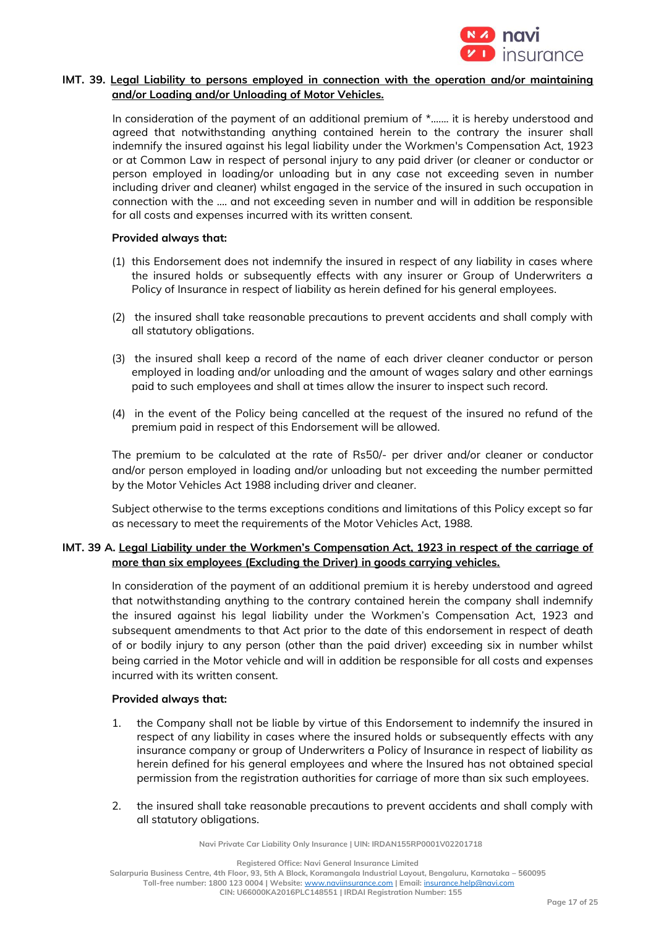

## **IMT. 39. Legal Liability to persons employed in connection with the operation and/or maintaining and/or Loading and/or Unloading of Motor Vehicles.**

In consideration of the payment of an additional premium of  $*$ ....... it is hereby understood and agreed that notwithstanding anything contained herein to the contrary the insurer shall indemnify the insured against his legal liability under the Workmen's Compensation Act, 1923 or at Common Law in respect of personal injury to any paid driver (or cleaner or conductor or person employed in loading/or unloading but in any case not exceeding seven in number including driver and cleaner) whilst engaged in the service of the insured in such occupation in connection with the .... and not exceeding seven in number and will in addition be responsible for all costs and expenses incurred with its written consent.

#### **Provided always that:**

- (1) this Endorsement does not indemnify the insured in respect of any liability in cases where the insured holds or subsequently effects with any insurer or Group of Underwriters a Policy of Insurance in respect of liability as herein defined for his general employees.
- (2) the insured shall take reasonable precautions to prevent accidents and shall comply with all statutory obligations.
- (3) the insured shall keep a record of the name of each driver cleaner conductor or person employed in loading and/or unloading and the amount of wages salary and other earnings paid to such employees and shall at times allow the insurer to inspect such record.
- (4) in the event of the Policy being cancelled at the request of the insured no refund of the premium paid in respect of this Endorsement will be allowed.

The premium to be calculated at the rate of Rs50/- per driver and/or cleaner or conductor and/or person employed in loading and/or unloading but not exceeding the number permitted by the Motor Vehicles Act 1988 including driver and cleaner.

Subject otherwise to the terms exceptions conditions and limitations of this Policy except so far as necessary to meet the requirements of the Motor Vehicles Act, 1988.

## **IMT. 39 A. Legal Liability under the Workmen's Compensation Act, 1923 in respect of the carriage of more than six employees (Excluding the Driver) in goods carrying vehicles.**

In consideration of the payment of an additional premium it is hereby understood and agreed that notwithstanding anything to the contrary contained herein the company shall indemnify the insured against his legal liability under the Workmen's Compensation Act, 1923 and subsequent amendments to that Act prior to the date of this endorsement in respect of death of or bodily injury to any person (other than the paid driver) exceeding six in number whilst being carried in the Motor vehicle and will in addition be responsible for all costs and expenses incurred with its written consent.

## **Provided always that:**

- 1. the Company shall not be liable by virtue of this Endorsement to indemnify the insured in respect of any liability in cases where the insured holds or subsequently effects with any insurance company or group of Underwriters a Policy of Insurance in respect of liability as herein defined for his general employees and where the Insured has not obtained special permission from the registration authorities for carriage of more than six such employees.
- 2. the insured shall take reasonable precautions to prevent accidents and shall comply with all statutory obligations.

**Navi Private Car Liability Only Insurance | UIN: IRDAN155RP0001V02201718**

**Registered Office: Navi General Insurance Limited**

**Salarpuria Business Centre, 4th Floor, 93, 5th A Block, Koramangala Industrial Layout, Bengaluru, Karnataka – 560095 Toll-free number: 1800 123 0004 | Website:** [www.naviinsurance.com](http://www.naviinsurance.com/) **| Email:** [insurance.help@navi.com](mailto:insurance.help@navi.com)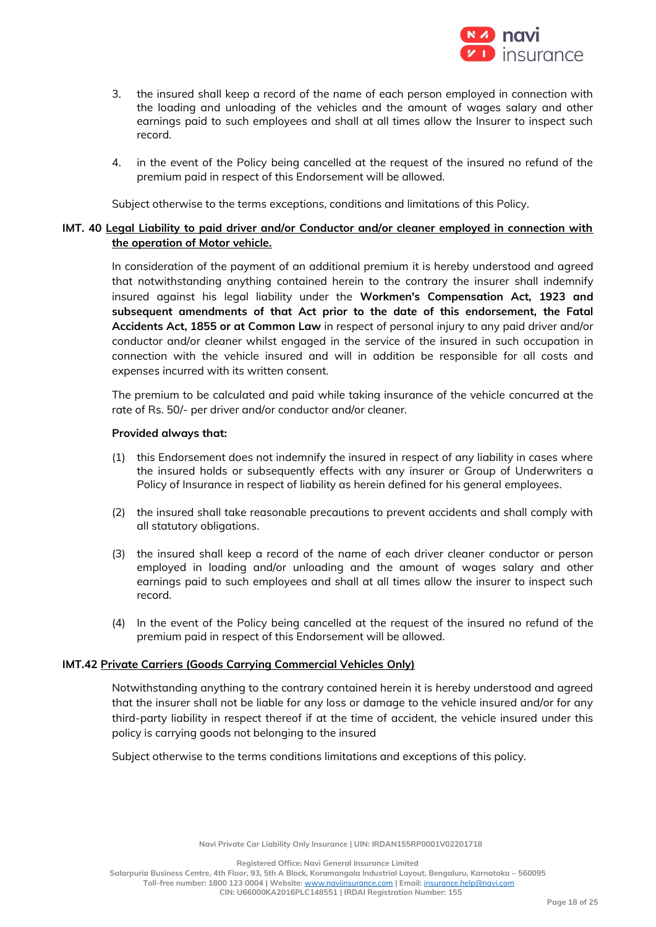

- 3. the insured shall keep a record of the name of each person employed in connection with the loading and unloading of the vehicles and the amount of wages salary and other earnings paid to such employees and shall at all times allow the Insurer to inspect such record.
- 4. in the event of the Policy being cancelled at the request of the insured no refund of the premium paid in respect of this Endorsement will be allowed.

Subject otherwise to the terms exceptions, conditions and limitations of this Policy.

## **IMT. 40 Legal Liability to paid driver and/or Conductor and/or cleaner employed in connection with the operation of Motor vehicle.**

In consideration of the payment of an additional premium it is hereby understood and agreed that notwithstanding anything contained herein to the contrary the insurer shall indemnify insured against his legal liability under the **Workmen's Compensation Act, 1923 and subsequent amendments of that Act prior to the date of this endorsement, the Fatal Accidents Act, 1855 or at Common Law** in respect of personal injury to any paid driver and/or conductor and/or cleaner whilst engaged in the service of the insured in such occupation in connection with the vehicle insured and will in addition be responsible for all costs and expenses incurred with its written consent.

The premium to be calculated and paid while taking insurance of the vehicle concurred at the rate of Rs. 50/- per driver and/or conductor and/or cleaner.

#### **Provided always that:**

- (1) this Endorsement does not indemnify the insured in respect of any liability in cases where the insured holds or subsequently effects with any insurer or Group of Underwriters a Policy of Insurance in respect of liability as herein defined for his general employees.
- (2) the insured shall take reasonable precautions to prevent accidents and shall comply with all statutory obligations.
- (3) the insured shall keep a record of the name of each driver cleaner conductor or person employed in loading and/or unloading and the amount of wages salary and other earnings paid to such employees and shall at all times allow the insurer to inspect such record.
- (4) In the event of the Policy being cancelled at the request of the insured no refund of the premium paid in respect of this Endorsement will be allowed.

## **IMT.42 Private Carriers (Goods Carrying Commercial Vehicles Only)**

Notwithstanding anything to the contrary contained herein it is hereby understood and agreed that the insurer shall not be liable for any loss or damage to the vehicle insured and/or for any third-party liability in respect thereof if at the time of accident, the vehicle insured under this policy is carrying goods not belonging to the insured

Subject otherwise to the terms conditions limitations and exceptions of this policy.

**Salarpuria Business Centre, 4th Floor, 93, 5th A Block, Koramangala Industrial Layout, Bengaluru, Karnataka – 560095**

**Toll-free number: 1800 123 0004 | Website:** [www.naviinsurance.com](http://www.naviinsurance.com/) **| Email:** [insurance.help@navi.com](mailto:insurance.help@navi.com)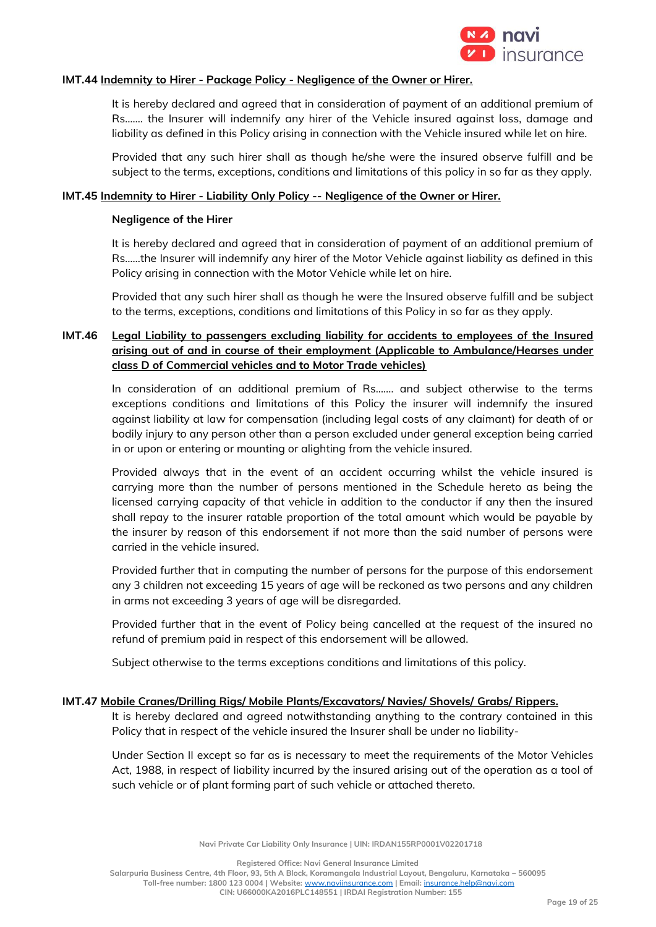

## **IMT.44 Indemnity to Hirer - Package Policy - Negligence of the Owner or Hirer.**

It is hereby declared and agreed that in consideration of payment of an additional premium of Rs……. the Insurer will indemnify any hirer of the Vehicle insured against loss, damage and liability as defined in this Policy arising in connection with the Vehicle insured while let on hire.

Provided that any such hirer shall as though he/she were the insured observe fulfill and be subject to the terms, exceptions, conditions and limitations of this policy in so far as they apply.

#### **IMT.45 Indemnity to Hirer - Liability Only Policy -- Negligence of the Owner or Hirer.**

#### **Negligence of the Hirer**

It is hereby declared and agreed that in consideration of payment of an additional premium of Rs……the Insurer will indemnify any hirer of the Motor Vehicle against liability as defined in this Policy arising in connection with the Motor Vehicle while let on hire.

Provided that any such hirer shall as though he were the Insured observe fulfill and be subject to the terms, exceptions, conditions and limitations of this Policy in so far as they apply.

# **IMT.46 Legal Liability to passengers excluding liability for accidents to employees of the Insured arising out of and in course of their employment (Applicable to Ambulance/Hearses under class D of Commercial vehicles and to Motor Trade vehicles)**

In consideration of an additional premium of Rs……. and subject otherwise to the terms exceptions conditions and limitations of this Policy the insurer will indemnify the insured against liability at law for compensation (including legal costs of any claimant) for death of or bodily injury to any person other than a person excluded under general exception being carried in or upon or entering or mounting or alighting from the vehicle insured.

Provided always that in the event of an accident occurring whilst the vehicle insured is carrying more than the number of persons mentioned in the Schedule hereto as being the licensed carrying capacity of that vehicle in addition to the conductor if any then the insured shall repay to the insurer ratable proportion of the total amount which would be payable by the insurer by reason of this endorsement if not more than the said number of persons were carried in the vehicle insured.

Provided further that in computing the number of persons for the purpose of this endorsement any 3 children not exceeding 15 years of age will be reckoned as two persons and any children in arms not exceeding 3 years of age will be disregarded.

Provided further that in the event of Policy being cancelled at the request of the insured no refund of premium paid in respect of this endorsement will be allowed.

Subject otherwise to the terms exceptions conditions and limitations of this policy.

#### **IMT.47 Mobile Cranes/Drilling Rigs/ Mobile Plants/Excavators/ Navies/ Shovels/ Grabs/ Rippers.**

It is hereby declared and agreed notwithstanding anything to the contrary contained in this Policy that in respect of the vehicle insured the Insurer shall be under no liability-

Under Section II except so far as is necessary to meet the requirements of the Motor Vehicles Act, 1988, in respect of liability incurred by the insured arising out of the operation as a tool of such vehicle or of plant forming part of such vehicle or attached thereto.

**Navi Private Car Liability Only Insurance | UIN: IRDAN155RP0001V02201718**

**Registered Office: Navi General Insurance Limited**

**Salarpuria Business Centre, 4th Floor, 93, 5th A Block, Koramangala Industrial Layout, Bengaluru, Karnataka – 560095**

**Toll-free number: 1800 123 0004 | Website:** [www.naviinsurance.com](http://www.naviinsurance.com/) **| Email:** [insurance.help@navi.com](mailto:insurance.help@navi.com)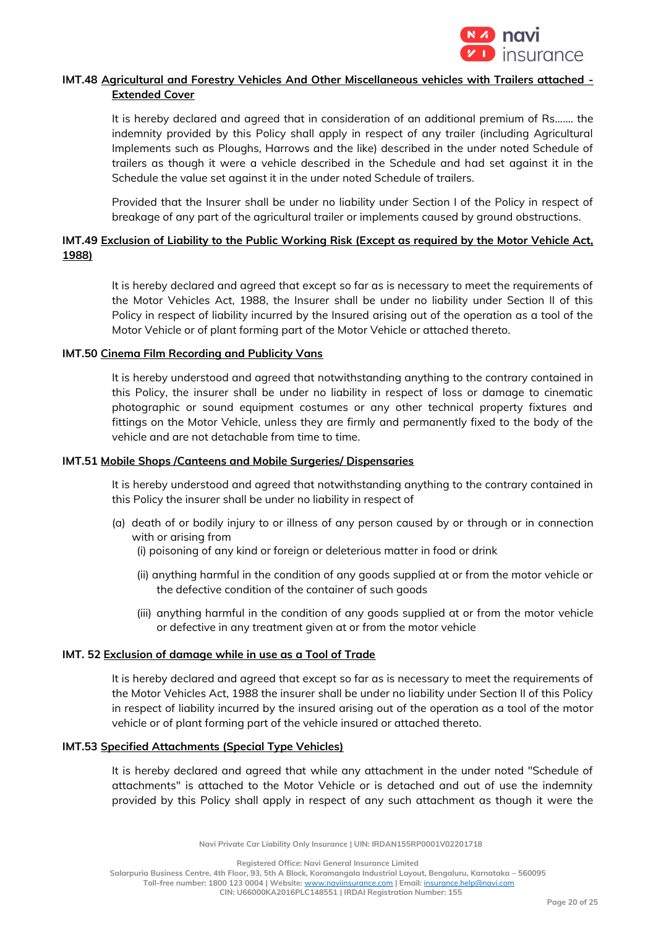

# **IMT.48 Agricultural and Forestry Vehicles And Other Miscellaneous vehicles with Trailers attached - Extended Cover**

It is hereby declared and agreed that in consideration of an additional premium of Rs……. the indemnity provided by this Policy shall apply in respect of any trailer (including Agricultural Implements such as Ploughs, Harrows and the like) described in the under noted Schedule of trailers as though it were a vehicle described in the Schedule and had set against it in the Schedule the value set against it in the under noted Schedule of trailers.

Provided that the Insurer shall be under no liability under Section I of the Policy in respect of breakage of any part of the agricultural trailer or implements caused by ground obstructions.

# **IMT.49 Exclusion of Liability to the Public Working Risk (Except as required by the Motor Vehicle Act, 1988)**

It is hereby declared and agreed that except so far as is necessary to meet the requirements of the Motor Vehicles Act, 1988, the Insurer shall be under no liability under Section II of this Policy in respect of liability incurred by the Insured arising out of the operation as a tool of the Motor Vehicle or of plant forming part of the Motor Vehicle or attached thereto.

## **IMT.50 Cinema Film Recording and Publicity Vans**

It is hereby understood and agreed that notwithstanding anything to the contrary contained in this Policy, the insurer shall be under no liability in respect of loss or damage to cinematic photographic or sound equipment costumes or any other technical property fixtures and fittings on the Motor Vehicle, unless they are firmly and permanently fixed to the body of the vehicle and are not detachable from time to time.

# **IMT.51 Mobile Shops /Canteens and Mobile Surgeries/ Dispensaries**

It is hereby understood and agreed that notwithstanding anything to the contrary contained in this Policy the insurer shall be under no liability in respect of

- (a) death of or bodily injury to or illness of any person caused by or through or in connection with or arising from
	- (i) poisoning of any kind or foreign or deleterious matter in food or drink
	- (ii) anything harmful in the condition of any goods supplied at or from the motor vehicle or the defective condition of the container of such goods
	- (iii) anything harmful in the condition of any goods supplied at or from the motor vehicle or defective in any treatment given at or from the motor vehicle

## **IMT. 52 Exclusion of damage while in use as a Tool of Trade**

It is hereby declared and agreed that except so far as is necessary to meet the requirements of the Motor Vehicles Act, 1988 the insurer shall be under no liability under Section II of this Policy in respect of liability incurred by the insured arising out of the operation as a tool of the motor vehicle or of plant forming part of the vehicle insured or attached thereto.

#### **IMT.53 Specified Attachments (Special Type Vehicles)**

It is hereby declared and agreed that while any attachment in the under noted "Schedule of attachments" is attached to the Motor Vehicle or is detached and out of use the indemnity provided by this Policy shall apply in respect of any such attachment as though it were the

**Navi Private Car Liability Only Insurance | UIN: IRDAN155RP0001V02201718**

**Registered Office: Navi General Insurance Limited**

**Salarpuria Business Centre, 4th Floor, 93, 5th A Block, Koramangala Industrial Layout, Bengaluru, Karnataka – 560095**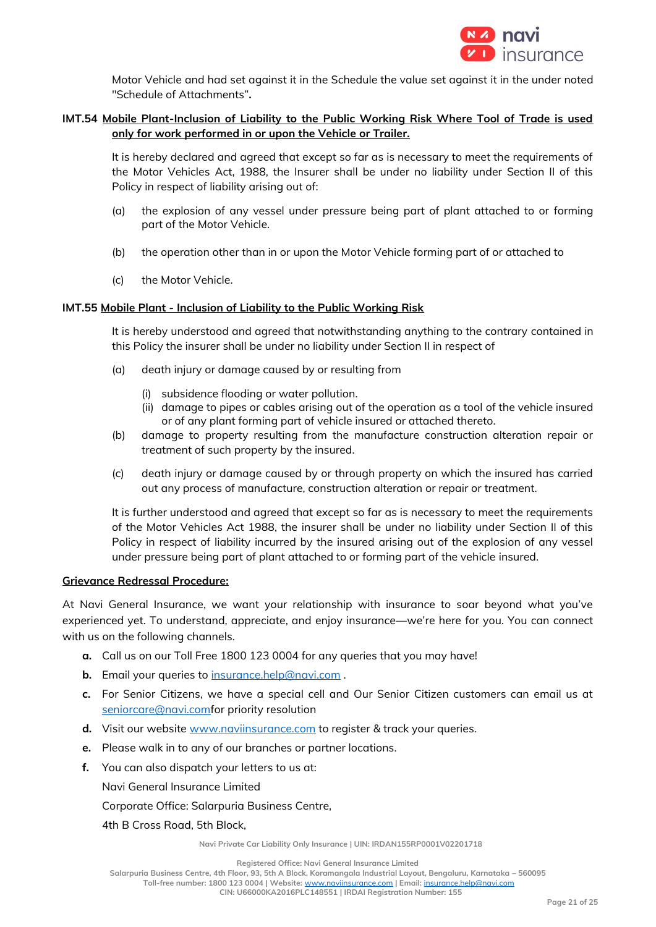

Motor Vehicle and had set against it in the Schedule the value set against it in the under noted "Schedule of Attachments"**.**

# **IMT.54 Mobile Plant-Inclusion of Liability to the Public Working Risk Where Tool of Trade is used only for work performed in or upon the Vehicle or Trailer.**

It is hereby declared and agreed that except so far as is necessary to meet the requirements of the Motor Vehicles Act, 1988, the Insurer shall be under no liability under Section II of this Policy in respect of liability arising out of:

- (a) the explosion of any vessel under pressure being part of plant attached to or forming part of the Motor Vehicle.
- (b) the operation other than in or upon the Motor Vehicle forming part of or attached to
- (c) the Motor Vehicle.

## **IMT.55 Mobile Plant - Inclusion of Liability to the Public Working Risk**

It is hereby understood and agreed that notwithstanding anything to the contrary contained in this Policy the insurer shall be under no liability under Section II in respect of

- (a) death injury or damage caused by or resulting from
	- (i) subsidence flooding or water pollution.
	- (ii) damage to pipes or cables arising out of the operation as a tool of the vehicle insured or of any plant forming part of vehicle insured or attached thereto.
- (b) damage to property resulting from the manufacture construction alteration repair or treatment of such property by the insured.
- (c) death injury or damage caused by or through property on which the insured has carried out any process of manufacture, construction alteration or repair or treatment.

It is further understood and agreed that except so far as is necessary to meet the requirements of the Motor Vehicles Act 1988, the insurer shall be under no liability under Section II of this Policy in respect of liability incurred by the insured arising out of the explosion of any vessel under pressure being part of plant attached to or forming part of the vehicle insured.

## **Grievance Redressal Procedure:**

At Navi General Insurance, we want your relationship with insurance to soar beyond what you've experienced yet. To understand, appreciate, and enjoy insurance—we're here for you. You can connect with us on the following channels.

- **a.** Call us on our Toll Free 1800 123 0004 for any queries that you may have!
- **b.** Email your queries to [insurance.help@navi.com](mailto:insurance.help@navi.com) .
- **c.** For Senior Citizens, we have a special cell and Our Senior Citizen customers can email us at [seniorcare@navi.comf](mailto:seniorcare@navi.com)or priority resolution
- **d.** Visit our website [www.naviinsurance.com](http://www.naviinsurance.com/) to register & track your queries.
- **e.** Please walk in to any of our branches or partner locations.
- **f.** You can also dispatch your letters to us at:

Navi General Insurance Limited

Corporate Office: Salarpuria Business Centre,

4th B Cross Road, 5th Block,

**Navi Private Car Liability Only Insurance | UIN: IRDAN155RP0001V02201718**

**Registered Office: Navi General Insurance Limited**

**Salarpuria Business Centre, 4th Floor, 93, 5th A Block, Koramangala Industrial Layout, Bengaluru, Karnataka – 560095**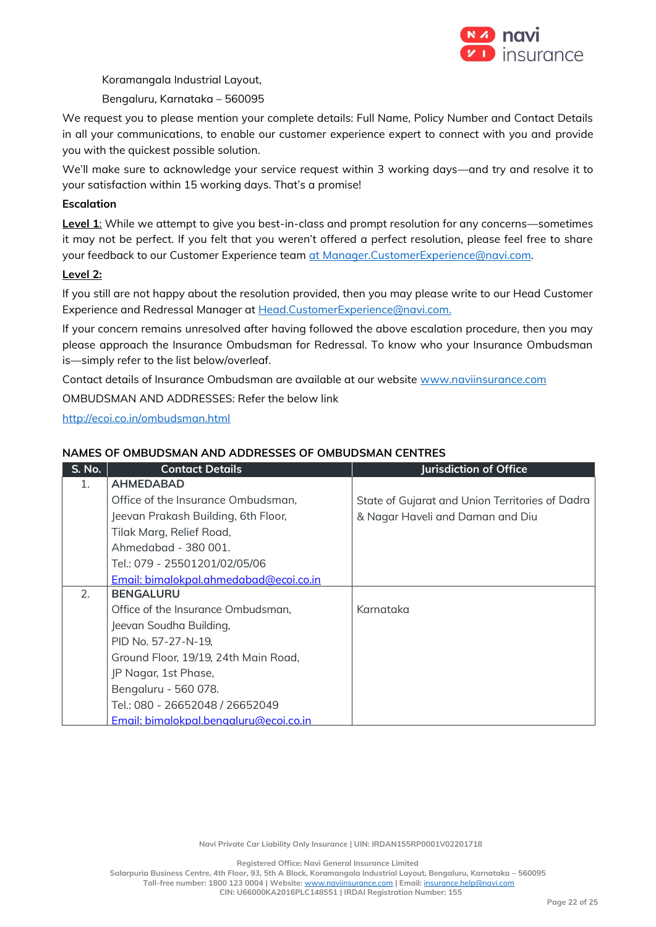

Koramangala Industrial Layout,

Bengaluru, Karnataka – 560095

We request you to please mention your complete details: Full Name, Policy Number and Contact Details in all your communications, to enable our customer experience expert to connect with you and provide you with the quickest possible solution.

We'll make sure to acknowledge your service request within 3 working days—and try and resolve it to your satisfaction within 15 working days. That's a promise!

# **Escalation**

**Level 1**: While we attempt to give you best-in-class and prompt resolution for any concerns—sometimes it may not be perfect. If you felt that you weren't offered a perfect resolution, please feel free to share your feedback to our Customer Experience team [at Manager.CustomerExperience@navi.com.](mailto:at%20Manager.CustomerExperience@navi.com)

## **Level 2:**

If you still are not happy about the resolution provided, then you may please write to our Head Customer Experience and Redressal Manager at [Head.CustomerExperience@navi.com.](mailto:Head.CustomerExperience@navi.com.) 

If your concern remains unresolved after having followed the above escalation procedure, then you may please approach the Insurance Ombudsman for Redressal. To know who your Insurance Ombudsman is—simply refer to the list below/overleaf.

Contact details of Insurance Ombudsman are available at our website [www.naviinsurance.com](http://www.naviinsurance.com/)

OMBUDSMAN AND ADDRESSES: Refer the below link

<http://ecoi.co.in/ombudsman.html>

## **NAMES OF OMBUDSMAN AND ADDRESSES OF OMBUDSMAN CENTRES**

| <b>S. No.</b> | <b>Contact Details</b>                 | <b>Jurisdiction of Office</b>                   |
|---------------|----------------------------------------|-------------------------------------------------|
| 1.            | <b>AHMEDABAD</b>                       |                                                 |
|               | Office of the Insurance Ombudsman,     | State of Gujarat and Union Territories of Dadra |
|               | Jeevan Prakash Building, 6th Floor,    | & Nagar Haveli and Daman and Diu                |
|               | Tilak Marg, Relief Road,               |                                                 |
|               | Ahmedabad - 380 001.                   |                                                 |
|               | Tel.: 079 - 25501201/02/05/06          |                                                 |
|               | Email: bimalokpal.ahmedabad@ecoi.co.in |                                                 |
| 2.            | <b>BENGALURU</b>                       |                                                 |
|               | Office of the Insurance Ombudsman,     | Karnataka                                       |
|               | Jeevan Soudha Building,                |                                                 |
|               | PID No. 57-27-N-19,                    |                                                 |
|               | Ground Floor, 19/19, 24th Main Road,   |                                                 |
|               | JP Nagar, 1st Phase,                   |                                                 |
|               | Bengaluru - 560 078.                   |                                                 |
|               | Tel.: 080 - 26652048 / 26652049        |                                                 |
|               | Email: bimalokpal.bengaluru@ecoi.co.in |                                                 |

**Navi Private Car Liability Only Insurance | UIN: IRDAN155RP0001V02201718**

**Registered Office: Navi General Insurance Limited**

**Salarpuria Business Centre, 4th Floor, 93, 5th A Block, Koramangala Industrial Layout, Bengaluru, Karnataka – 560095**

**Toll-free number: 1800 123 0004 | Website:** [www.naviinsurance.com](http://www.naviinsurance.com/) **| Email:** [insurance.help@navi.com](mailto:insurance.help@navi.com)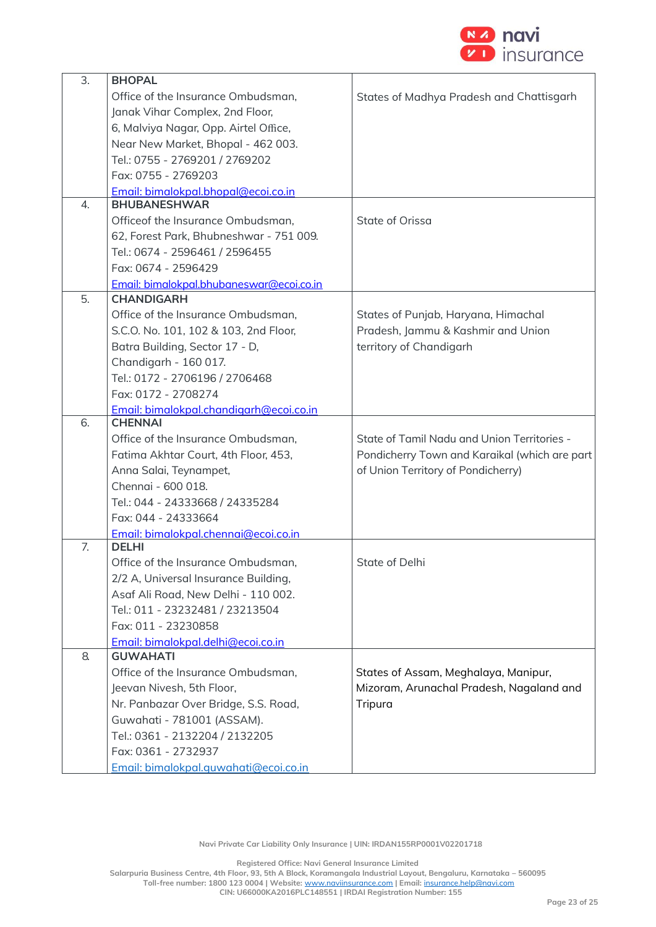

| 3. | <b>BHOPAL</b>                            |                                               |
|----|------------------------------------------|-----------------------------------------------|
|    | Office of the Insurance Ombudsman,       | States of Madhya Pradesh and Chattisgarh      |
|    | Janak Vihar Complex, 2nd Floor,          |                                               |
|    | 6, Malviya Nagar, Opp. Airtel Office,    |                                               |
|    | Near New Market, Bhopal - 462 003.       |                                               |
|    | Tel.: 0755 - 2769201 / 2769202           |                                               |
|    | Fax: 0755 - 2769203                      |                                               |
|    | Email: bimalokpal.bhopal@ecoi.co.in      |                                               |
| 4. | <b>BHUBANESHWAR</b>                      |                                               |
|    | Officeof the Insurance Ombudsman,        | State of Orissa                               |
|    | 62, Forest Park, Bhubneshwar - 751 009.  |                                               |
|    | Tel.: 0674 - 2596461 / 2596455           |                                               |
|    | Fax: 0674 - 2596429                      |                                               |
|    | Email: bimalokpal.bhubaneswar@ecoi.co.in |                                               |
| 5. | <b>CHANDIGARH</b>                        |                                               |
|    | Office of the Insurance Ombudsman,       | States of Punjab, Haryana, Himachal           |
|    | S.C.O. No. 101, 102 & 103, 2nd Floor,    | Pradesh, Jammu & Kashmir and Union            |
|    | Batra Building, Sector 17 - D,           | territory of Chandigarh                       |
|    | Chandigarh - 160 017.                    |                                               |
|    | Tel.: 0172 - 2706196 / 2706468           |                                               |
|    | Fax: 0172 - 2708274                      |                                               |
|    | Email: bimalokpal.chandigarh@ecoi.co.in  |                                               |
| 6. | <b>CHENNAI</b>                           |                                               |
|    | Office of the Insurance Ombudsman,       | State of Tamil Nadu and Union Territories -   |
|    | Fatima Akhtar Court, 4th Floor, 453,     | Pondicherry Town and Karaikal (which are part |
|    | Anna Salai, Teynampet,                   | of Union Territory of Pondicherry)            |
|    | Chennai - 600 018.                       |                                               |
|    | Tel.: 044 - 24333668 / 24335284          |                                               |
|    | Fax: 044 - 24333664                      |                                               |
|    | Email: bimalokpal.chennai@ecoi.co.in     |                                               |
| 7. | <b>DELHI</b>                             |                                               |
|    | Office of the Insurance Ombudsman,       | State of Delhi                                |
|    | 2/2 A, Universal Insurance Building,     |                                               |
|    | Asaf Ali Road, New Delhi - 110 002.      |                                               |
|    | Tel.: 011 - 23232481 / 23213504          |                                               |
|    | Fax: 011 - 23230858                      |                                               |
|    | Email: bimalokpal.delhi@ecoi.co.in       |                                               |
| 8. | <b>GUWAHATI</b>                          |                                               |
|    | Office of the Insurance Ombudsman,       | States of Assam, Meghalaya, Manipur,          |
|    | Jeevan Nivesh, 5th Floor,                | Mizoram, Arunachal Pradesh, Nagaland and      |
|    | Nr. Panbazar Over Bridge, S.S. Road,     | Tripura                                       |
|    | Guwahati - 781001 (ASSAM).               |                                               |
|    | Tel.: 0361 - 2132204 / 2132205           |                                               |
|    | Fax: 0361 - 2732937                      |                                               |
|    | Email: bimalokpal.quwahati@ecoi.co.in    |                                               |

**Registered Office: Navi General Insurance Limited**

**Salarpuria Business Centre, 4th Floor, 93, 5th A Block, Koramangala Industrial Layout, Bengaluru, Karnataka – 560095**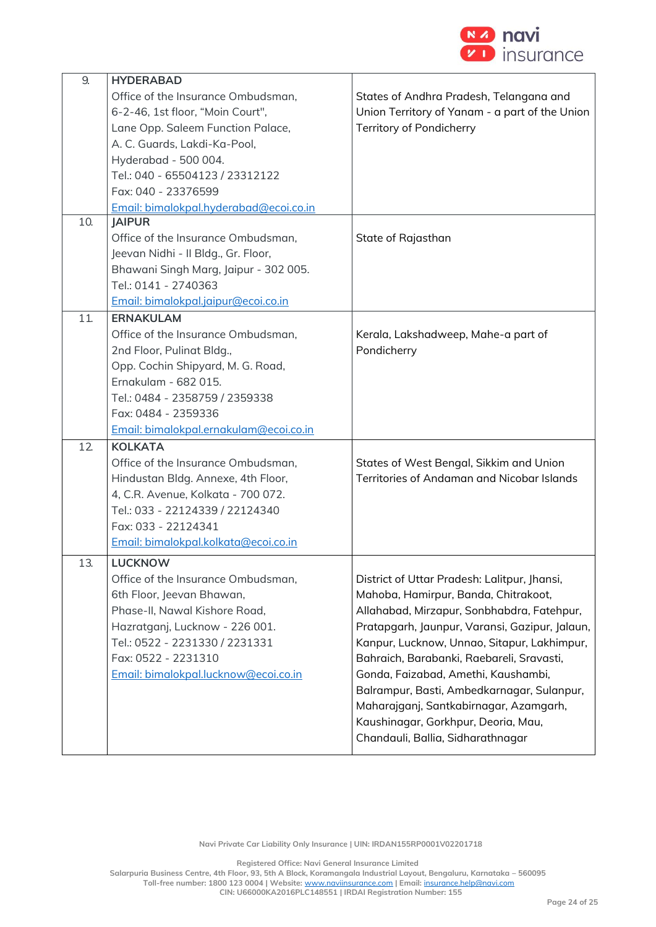

| 9.  | <b>HYDERABAD</b>                       |                                                |
|-----|----------------------------------------|------------------------------------------------|
|     | Office of the Insurance Ombudsman,     | States of Andhra Pradesh, Telangana and        |
|     | 6-2-46, 1st floor, "Moin Court",       | Union Territory of Yanam - a part of the Union |
|     | Lane Opp. Saleem Function Palace,      | Territory of Pondicherry                       |
|     | A. C. Guards, Lakdi-Ka-Pool,           |                                                |
|     | Hyderabad - 500 004.                   |                                                |
|     | Tel.: 040 - 65504123 / 23312122        |                                                |
|     | Fax: 040 - 23376599                    |                                                |
|     | Email: bimalokpal.hyderabad@ecoi.co.in |                                                |
| 10. | <b>JAIPUR</b>                          |                                                |
|     | Office of the Insurance Ombudsman,     | State of Rajasthan                             |
|     | Jeevan Nidhi - Il Bldg., Gr. Floor,    |                                                |
|     | Bhawani Singh Marg, Jaipur - 302 005.  |                                                |
|     | Tel.: 0141 - 2740363                   |                                                |
|     | Email: bimalokpal.jaipur@ecoi.co.in    |                                                |
| 11. | <b>ERNAKULAM</b>                       |                                                |
|     | Office of the Insurance Ombudsman,     | Kerala, Lakshadweep, Mahe-a part of            |
|     | 2nd Floor, Pulinat Bldg.,              | Pondicherry                                    |
|     | Opp. Cochin Shipyard, M. G. Road,      |                                                |
|     | Ernakulam - 682 015.                   |                                                |
|     | Tel.: 0484 - 2358759 / 2359338         |                                                |
|     | Fax: 0484 - 2359336                    |                                                |
|     | Email: bimalokpal.ernakulam@ecoi.co.in |                                                |
| 12  | <b>KOLKATA</b>                         |                                                |
|     | Office of the Insurance Ombudsman,     | States of West Bengal, Sikkim and Union        |
|     | Hindustan Bldg. Annexe, 4th Floor,     | Territories of Andaman and Nicobar Islands     |
|     | 4, C.R. Avenue, Kolkata - 700 072.     |                                                |
|     | Tel.: 033 - 22124339 / 22124340        |                                                |
|     | Fax: 033 - 22124341                    |                                                |
|     | Email: bimalokpal.kolkata@ecoi.co.in   |                                                |
| 13. | LUCKNOW                                |                                                |
|     | Office of the Insurance Ombudsman,     | District of Uttar Pradesh: Lalitpur, Jhansi,   |
|     | 6th Floor, Jeevan Bhawan,              | Mahoba, Hamirpur, Banda, Chitrakoot,           |
|     | Phase-II, Nawal Kishore Road,          | Allahabad, Mirzapur, Sonbhabdra, Fatehpur,     |
|     | Hazratganj, Lucknow - 226 001.         | Pratapgarh, Jaunpur, Varansi, Gazipur, Jalaun, |
|     | Tel.: 0522 - 2231330 / 2231331         | Kanpur, Lucknow, Unnao, Sitapur, Lakhimpur,    |
|     | Fax: 0522 - 2231310                    | Bahraich, Barabanki, Raebareli, Sravasti,      |
|     | Email: bimalokpal.lucknow@ecoi.co.in   | Gonda, Faizabad, Amethi, Kaushambi,            |
|     |                                        | Balrampur, Basti, Ambedkarnagar, Sulanpur,     |
|     |                                        | Maharajganj, Santkabirnagar, Azamgarh,         |
|     |                                        | Kaushinagar, Gorkhpur, Deoria, Mau,            |
|     |                                        | Chandauli, Ballia, Sidharathnagar              |
|     |                                        |                                                |

**Registered Office: Navi General Insurance Limited**

**Salarpuria Business Centre, 4th Floor, 93, 5th A Block, Koramangala Industrial Layout, Bengaluru, Karnataka – 560095**